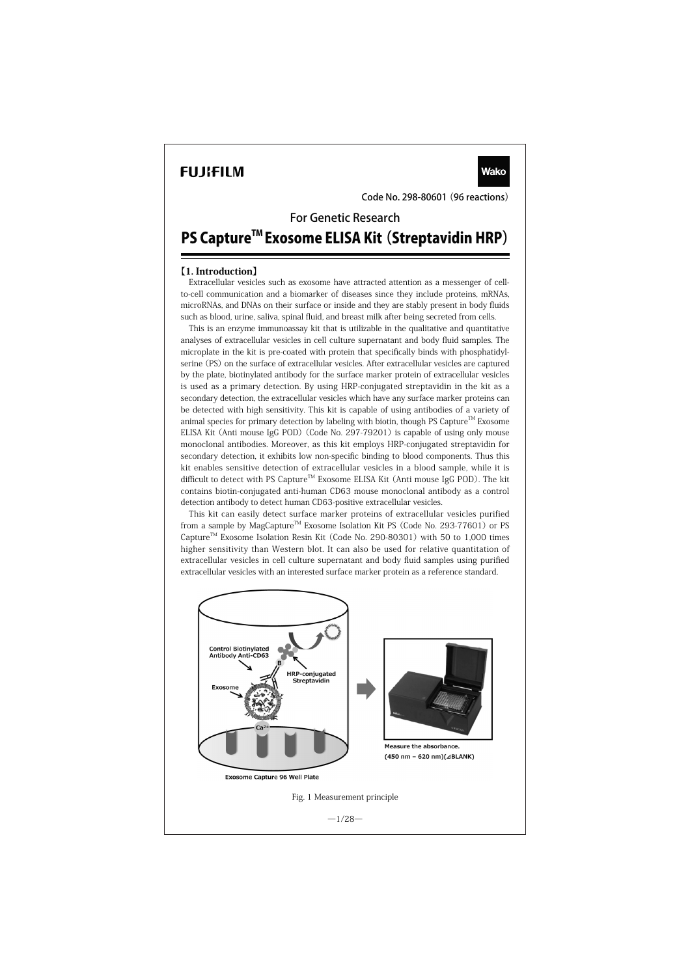# **FUJIFILM**

Code No. 298-80601 (96 reactions)

**Wako** 

For Genetic Research

# PS Capture<sup>™</sup> Exosome ELISA Kit (Streptavidin HRP)

# 【1. Introduction】

Extracellular vesicles such as exosome have attracted attention as a messenger of cellto-cell communication and a biomarker of diseases since they include proteins, mRNAs, microRNAs, and DNAs on their surface or inside and they are stably present in body fluids such as blood, urine, saliva, spinal fluid, and breast milk after being secreted from cells.

This is an enzyme immunoassay kit that is utilizable in the qualitative and quantitative analyses of extracellular vesicles in cell culture supernatant and body fluid samples. The microplate in the kit is pre-coated with protein that specifically binds with phosphatidylserine (PS) on the surface of extracellular vesicles. After extracellular vesicles are captured by the plate, biotinylated antibody for the surface marker protein of extracellular vesicles is used as a primary detection. By using HRP-conjugated streptavidin in the kit as a secondary detection, the extracellular vesicles which have any surface marker proteins can be detected with high sensitivity. This kit is capable of using antibodies of a variety of animal species for primary detection by labeling with biotin, though PS Capture<sup>TM</sup> Exosome ELISA Kit (Anti mouse IgG POD) (Code No. 297-79201) is capable of using only mouse monoclonal antibodies. Moreover, as this kit employs HRP-conjugated streptavidin for secondary detection, it exhibits low non-specific binding to blood components. Thus this kit enables sensitive detection of extracellular vesicles in a blood sample, while it is difficult to detect with PS Capture<sup>TM</sup> Exosome ELISA Kit (Anti mouse IgG POD). The kit contains biotin-conjugated anti-human CD63 mouse monoclonal antibody as a control detection antibody to detect human CD63-positive extracellular vesicles.

This kit can easily detect surface marker proteins of extracellular vesicles purified from a sample by MagCapture<sup>™</sup> Exosome Isolation Kit PS (Code No. 293-77601) or PS Capture<sup>TM</sup> Exosome Isolation Resin Kit (Code No. 290-80301) with 50 to 1,000 times higher sensitivity than Western blot. It can also be used for relative quantitation of extracellular vesicles in cell culture supernatant and body fluid samples using purified extracellular vesicles with an interested surface marker protein as a reference standard.

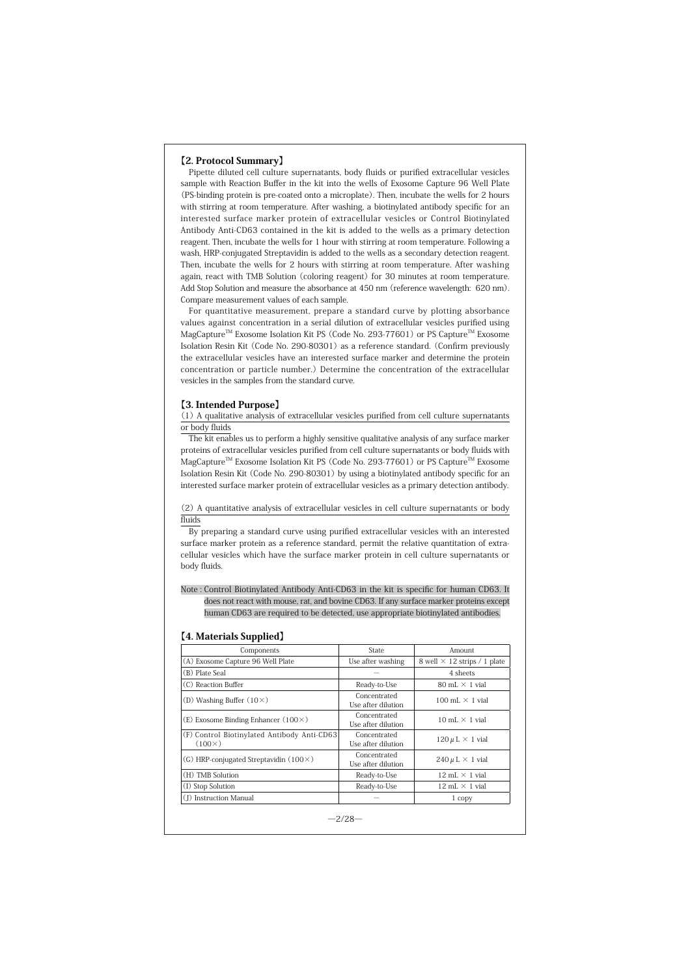#### 【2. Protocol Summary】

Pipette diluted cell culture supernatants, body fluids or purified extracellular vesicles sample with Reaction Buffer in the kit into the wells of Exosome Capture 96 Well Plate (PS-binding protein is pre-coated onto a microplate). Then, incubate the wells for 2 hours with stirring at room temperature. After washing, a biotinylated antibody specific for an interested surface marker protein of extracellular vesicles or Control Biotinylated Antibody Anti-CD63 contained in the kit is added to the wells as a primary detection reagent. Then, incubate the wells for 1 hour with stirring at room temperature. Following a wash, HRP-conjugated Streptavidin is added to the wells as a secondary detection reagent. Then, incubate the wells for 2 hours with stirring at room temperature. After washing again, react with TMB Solution (coloring reagent) for 30 minutes at room temperature. Add Stop Solution and measure the absorbance at 450 nm (reference wavelength: 620 nm). Compare measurement values of each sample.

For quantitative measurement, prepare a standard curve by plotting absorbance values against concentration in a serial dilution of extracellular vesicles purified using MagCapture<sup>™</sup> Exosome Isolation Kit PS (Code No. 293-77601) or PS Capture<sup>™</sup> Exosome Isolation Resin Kit (Code No. 290-80301) as a reference standard. (Confirm previously the extracellular vesicles have an interested surface marker and determine the protein concentration or particle number.) Determine the concentration of the extracellular vesicles in the samples from the standard curve.

#### 【3. Intended Purpose】

(1) A qualitative analysis of extracellular vesicles purified from cell culture supernatants or body fluids

The kit enables us to perform a highly sensitive qualitative analysis of any surface marker proteins of extracellular vesicles purified from cell culture supernatants or body fluids with MagCapture<sup>™</sup> Exosome Isolation Kit PS (Code No. 293-77601) or PS Capture<sup>™</sup> Exosome Isolation Resin Kit (Code No. 290-80301) by using a biotinylated antibody specific for an interested surface marker protein of extracellular vesicles as a primary detection antibody.

(2) A quantitative analysis of extracellular vesicles in cell culture supernatants or body fluids

By preparing a standard curve using purified extracellular vesicles with an interested surface marker protein as a reference standard, permit the relative quantitation of extracellular vesicles which have the surface marker protein in cell culture supernatants or body fluids.

Note : Control Biotinylated Antibody Anti-CD63 in the kit is specific for human CD63. It does not react with mouse, rat, and bovine CD63. If any surface marker proteins except human CD63 are required to be detected, use appropriate biotinylated antibodies.

#### 【4. Materials Supplied】

| Components                                                   | State                              | Amount                                |
|--------------------------------------------------------------|------------------------------------|---------------------------------------|
| (A) Exosome Capture 96 Well Plate                            | Use after washing                  | 8 well $\times$ 12 strips / 1 plate   |
| (B) Plate Seal                                               |                                    | 4 sheets                              |
| (C) Reaction Buffer                                          | Ready-to-Use                       | $80$ mL $\times$ 1 vial               |
| (D) Washing Buffer $(10\times)$                              | Concentrated<br>Use after dilution | 100 mL $\times$ 1 vial                |
| $(E)$ Exosome Binding Enhancer $(100 \times)$                | Concentrated<br>Use after dilution | $10 \text{ mL} \times 1 \text{ vial}$ |
| (F) Control Biotinylated Antibody Anti-CD63<br>$(100\times)$ | Concentrated<br>Use after dilution | $120 \mu L \times 1$ vial             |
| (G) HRP-conjugated Streptavidin $(100 \times)$               | Concentrated<br>Use after dilution | $240 \mu L \times 1$ vial             |
| (H) TMB Solution                                             | Ready-to-Use                       | $12 \text{ mL} \times 1 \text{ vial}$ |
| (I) Stop Solution                                            | Ready-to-Use                       | $12 \text{ mL} \times 1 \text{ vial}$ |
| (I) Instruction Manual                                       |                                    | 1 copy                                |

 $-2/28-$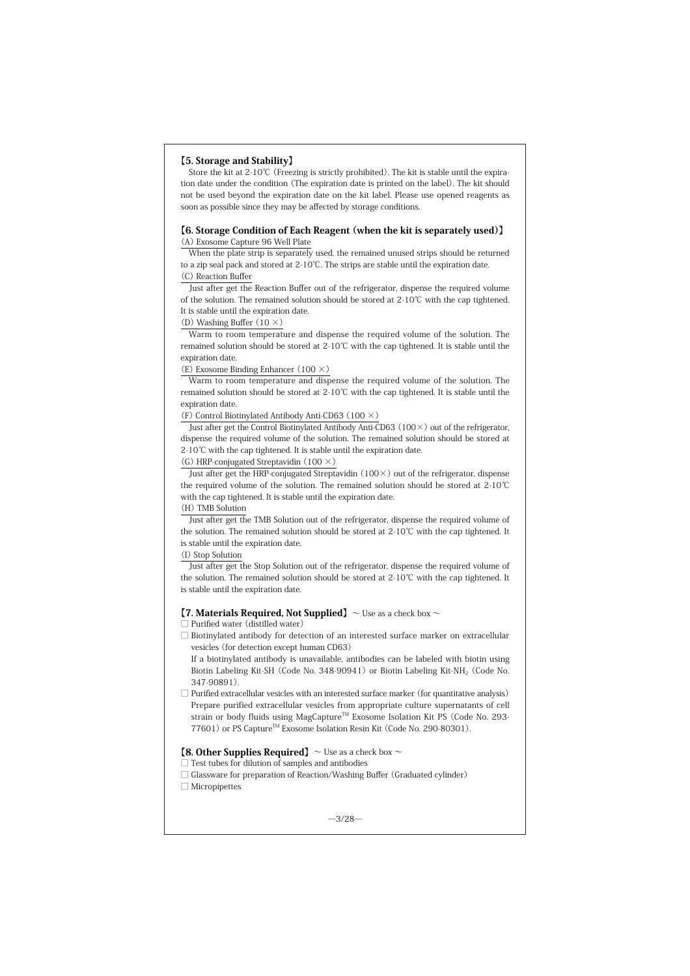#### 【5. Storage and Stability】

Store the kit at 2-10℃ (Freezing is strictly prohibited). The kit is stable until the expiration date under the condition (The expiration date is printed on the label). The kit should not be used beyond the expiration date on the kit label. Please use opened reagents as soon as possible since they may be affected by storage conditions.

#### 【6. Storage Condition of Each Reagent (when the kit is separately used)】 (A) Exosome Capture 96 Well Plate

When the plate strip is separately used, the remained unused strips should be returned to a zip seal pack and stored at 2-10℃. The strips are stable until the expiration date. (C) Reaction Buffer

Just after get the Reaction Buffer out of the refrigerator, dispense the required volume of the solution. The remained solution should be stored at 2-10℃ with the cap tightened. It is stable until the expiration date.

(D) Washing Buffer  $(10 \times)$ 

Warm to room temperature and dispense the required volume of the solution. The remained solution should be stored at 2-10℃ with the cap tightened. It is stable until the expiration date.

(E) Exosome Binding Enhancer (100 ×)

Warm to room temperature and dispense the required volume of the solution. The remained solution should be stored at 2-10℃ with the cap tightened. It is stable until the expiration date.

(F) Control Biotinylated Antibody Anti-CD63 (100 ×)

Just after get the Control Biotinylated Antibody Anti-CD63 (100×) out of the refrigerator, dispense the required volume of the solution. The remained solution should be stored at 2-10℃ with the cap tightened. It is stable until the expiration date.

(G) HRP-conjugated Streptavidin  $(100 \times)$ 

Just after get the HRP-conjugated Streptavidin (100×) out of the refrigerator, dispense the required volume of the solution. The remained solution should be stored at 2-10℃ with the cap tightened. It is stable until the expiration date.

# (H) TMB Solution

Just after get the TMB Solution out of the refrigerator, dispense the required volume of the solution. The remained solution should be stored at 2-10℃ with the cap tightened. It is stable until the expiration date.

#### (I) Stop Solution

Just after get the Stop Solution out of the refrigerator, dispense the required volume of the solution. The remained solution should be stored at 2-10℃ with the cap tightened. It is stable until the expiration date.

#### **[7. Materials Required, Not Supplied]**  $\sim$  Use as a check box  $\sim$

□ Purified water (distilled water)

□ Biotinylated antibody for detection of an interested surface marker on extracellular vesicles (for detection except human CD63)

If a biotinylated antibody is unavailable, antibodies can be labeled with biotin using Biotin Labeling Kit-SH (Code No. 348-90941) or Biotin Labeling Kit-NH<sub>2</sub> (Code No. 347-90891).

 $\Box$  Purified extracellular vesicles with an interested surface marker (for quantitative analysis) Prepare purified extracellular vesicles from appropriate culture supernatants of cell strain or body fluids using MagCapture<sup>™</sup> Exosome Isolation Kit PS (Code No. 293-77601) or PS Capture™ Exosome Isolation Resin Kit (Code No. 290-80301).

# **[8. Other Supplies Required]**  $\sim$  Use as a check box  $\sim$

#### □ Test tubes for dilution of samples and antibodies

- □ Glassware for preparation of Reaction/Washing Buffer (Graduated cylinder)
- □ Micropipettes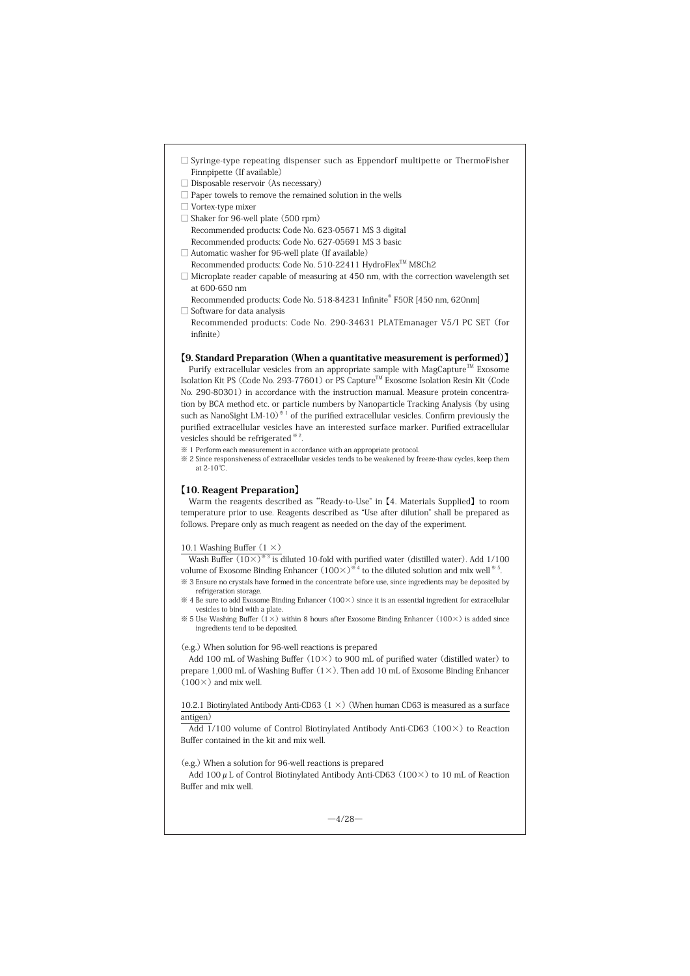- $\square$  Syringe-type repeating dispenser such as Eppendorf multipette or ThermoFisher Finnpipette (If available)
- □ Disposable reservoir (As necessary)
- $\Box$  Paper towels to remove the remained solution in the wells
- □ Vortex-type mixer
- $\Box$  Shaker for 96-well plate (500 rpm) Recommended products: Code No. 623-05671 MS 3 digital
- Recommended products: Code No. 627-05691 MS 3 basic □ Automatic washer for 96-well plate (If available)
- Recommended products: Code No. 510-22411 HydroFlexTM M8Ch2
- $\Box$  Microplate reader capable of measuring at 450 nm, with the correction wavelength set at 600-650 nm

Recommended products: Code No. 518-84231 Infinite® F50R [450 nm, 620nm]

□ Software for data analysis Recommended products: Code No. 290-34631 PLATEmanager V5/I PC SET (for infinite)

# 【9. Standard Preparation (When a quantitative measurement is performed)】

Purify extracellular vesicles from an appropriate sample with MagCapture<sup>TM</sup> Exosome Isolation Kit PS (Code No. 293-77601) or PS Capture<sup>™</sup> Exosome Isolation Resin Kit (Code No. 290-80301) in accordance with the instruction manual. Measure protein concentration by BCA method etc. or particle numbers by Nanoparticle Tracking Analysis (by using such as NanoSight LM-10)<sup>\*1</sup> of the purified extracellular vesicles. Confirm previously the purified extracellular vesicles have an interested surface marker. Purified extracellular vesicles should be refrigerated ※ 2.

※ 1 Perform each measurement in accordance with an appropriate protocol.

※ 2 Since responsiveness of extracellular vesicles tends to be weakened by freeze-thaw cycles, keep them at 2-10℃.

#### 【10. Reagent Preparation】

Warm the reagents described as "Ready-to-Use" in [4. Materials Supplied] to room temperature prior to use. Reagents described as "Use after dilution" shall be prepared as follows. Prepare only as much reagent as needed on the day of the experiment.

#### 10.1 Washing Buffer (1 ×)

Wash Buffer  $(10\times)^{3/3}$  is diluted 10-fold with purified water (distilled water). Add 1/100 volume of Exosome Binding Enhancer  $(100\times)^{*4}$  to the diluted solution and mix well  $*5$ ※ 3 Ensure no crystals have formed in the concentrate before use, since ingredients may be deposited by

refrigeration storage.

 $% 4$  Be sure to add Exosome Binding Enhancer (100 $\times$ ) since it is an essential ingredient for extracellular vesicles to bind with a plate.  $\frac{1}{2}$  S Use Washing Buffer (1×) within 8 hours after Exosome Binding Enhancer (100×) is added since

ingredients tend to be deposited.

(e.g.) When solution for 96-well reactions is prepared

Add 100 mL of Washing Buffer (10×) to 900 mL of purified water (distilled water) to prepare 1,000 mL of Washing Buffer  $(1 \times)$ . Then add 10 mL of Exosome Binding Enhancer  $(100 \times)$  and mix well.

10.2.1 Biotinylated Antibody Anti-CD63  $(1 \times)$  (When human CD63 is measured as a surface antigen)

 $\overline{Add\ 1}}/100$  volume of Control Biotinylated Antibody Anti-CD63 (100 $\times$ ) to Reaction Buffer contained in the kit and mix well.

(e.g.) When a solution for 96-well reactions is prepared

Add 100  $\mu$  L of Control Biotinylated Antibody Anti-CD63 (100 $\times$ ) to 10 mL of Reaction Buffer and mix well.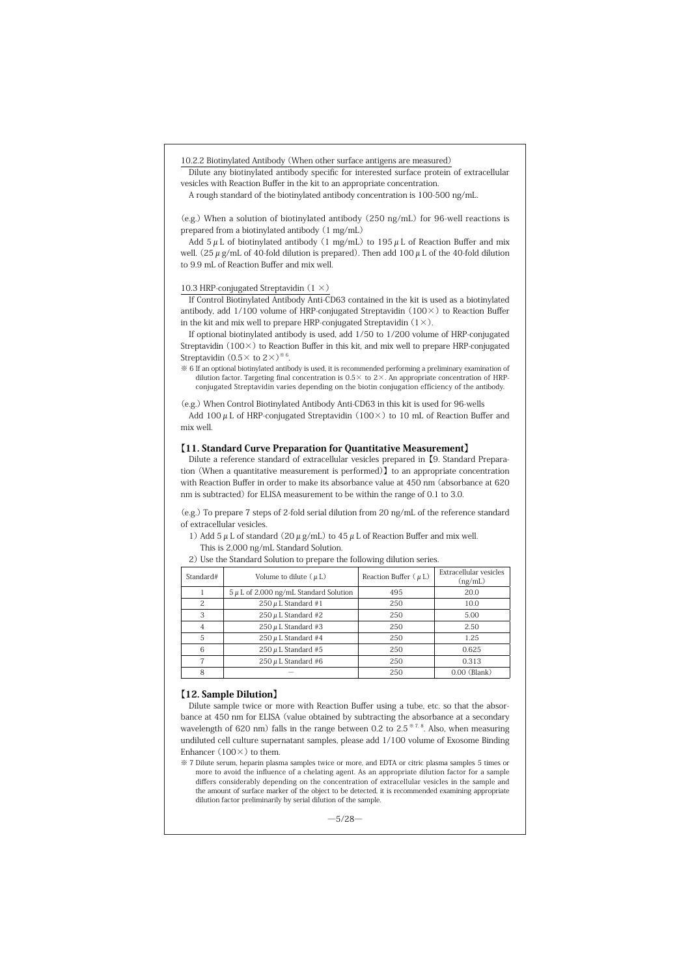10.2.2 Biotinylated Antibody (When other surface antigens are measured)

Dilute any biotinylated antibody specific for interested surface protein of extracellular vesicles with Reaction Buffer in the kit to an appropriate concentration.

A rough standard of the biotinylated antibody concentration is 100-500 ng/mL.

(e.g.) When a solution of biotinylated antibody (250 ng/mL) for 96-well reactions is prepared from a biotinylated antibody (1 mg/mL)

Add  $5 \mu$  L of biotinylated antibody (1 mg/mL) to 195  $\mu$  L of Reaction Buffer and mix well. (25  $\mu$  g/mL of 40-fold dilution is prepared). Then add 100  $\mu$  L of the 40-fold dilution to 9.9 mL of Reaction Buffer and mix well.

#### 10.3 HRP-conjugated Streptavidin (1 ×)

If Control Biotinylated Antibody Anti-CD63 contained in the kit is used as a biotinylated antibody, add 1/100 volume of HRP-conjugated Streptavidin (100×) to Reaction Buffer in the kit and mix well to prepare HRP-conjugated Streptavidin  $(1 \times)$ .

If optional biotinylated antibody is used, add 1/50 to 1/200 volume of HRP-conjugated Streptavidin (100×) to Reaction Buffer in this kit, and mix well to prepare HRP-conjugated Streptavidin  $(0.5 \times$  to  $2 \times)$ <sup>\*</sup>

※ 6 If an optional biotinylated antibody is used, it is recommended performing a preliminary examination of dilution factor. Targeting final concentration is  $0.5 \times$  to  $2 \times$ . An appropriate concentration of HRPconjugated Streptavidin varies depending on the biotin conjugation efficiency of the antibody.

(e.g.) When Control Biotinylated Antibody Anti-CD63 in this kit is used for 96-wells

Add 100  $\mu$  L of HRP-conjugated Streptavidin (100 ×) to 10 mL of Reaction Buffer and mix well.

#### 【11. Standard Curve Preparation for Quantitative Measurement】

Dilute a reference standard of extracellular vesicles prepared in【9. Standard Preparation (When a quantitative measurement is performed)】to an appropriate concentration with Reaction Buffer in order to make its absorbance value at 450 nm (absorbance at 620 nm is subtracted) for ELISA measurement to be within the range of 0.1 to 3.0.

(e.g.) To prepare 7 steps of 2-fold serial dilution from 20 ng/mL of the reference standard of extracellular vesicles.

1) Add 5  $\mu$  L of standard (20  $\mu$  g/mL) to 45  $\mu$  L of Reaction Buffer and mix well. This is 2,000 ng/mL Standard Solution.

| 2) Use the Standard Solution to prepare the following dilution series. |  |
|------------------------------------------------------------------------|--|
|------------------------------------------------------------------------|--|

| Standard# | Volume to dilute $(\mu L)$                 | Reaction Buffer $(\mu L)$ | Extracellular vesicles<br>(ng/mL) |
|-----------|--------------------------------------------|---------------------------|-----------------------------------|
|           | $5 \mu$ L of 2,000 ng/mL Standard Solution | 495                       | 20.0                              |
| 2         | $250 \mu$ L Standard #1                    | 250                       | 10.0                              |
| 3         | $250 \mu$ L Standard #2                    | 250                       | 5.00                              |
|           | $250 \mu$ L Standard #3                    | 250                       | 2.50                              |
| 5         | $250 \mu$ L Standard #4                    | 250                       | 1.25                              |
|           | $250 \mu$ L Standard #5                    | 250                       | 0.625                             |
|           | $250 \mu$ L Standard #6                    | 250                       | 0.313                             |
| 8         |                                            | 250                       | $0.00$ (Blank)                    |

#### 【12. Sample Dilution】

Dilute sample twice or more with Reaction Buffer using a tube, etc. so that the absorbance at 450 nm for ELISA (value obtained by subtracting the absorbance at a secondary wavelength of 620 nm) falls in the range between 0.2 to  $2.5^{*7.8}$ . Also, when measuring undiluted cell culture supernatant samples, please add 1/100 volume of Exosome Binding Enhancer  $(100\times)$  to them.

※ 7 Dilute serum, heparin plasma samples twice or more, and EDTA or citric plasma samples 5 times or more to avoid the influence of a chelating agent. As an appropriate dilution factor for a sample differs considerably depending on the concentration of extracellular vesicles in the sample and the amount of surface marker of the object to be detected, it is recommended examining appropriate dilution factor preliminarily by serial dilution of the sample.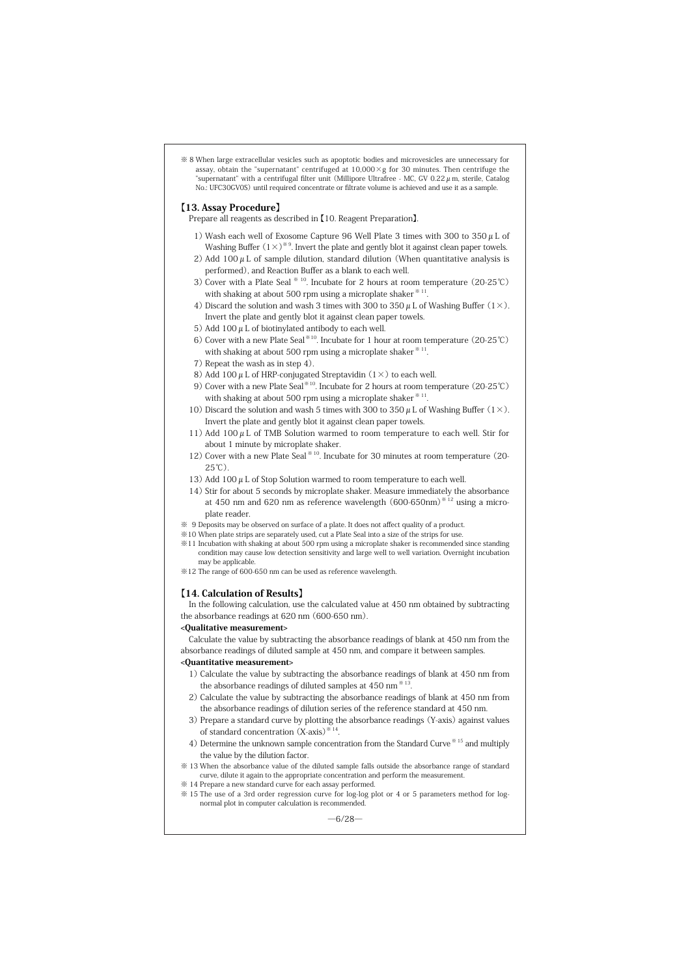※ 8 When large extracellular vesicles such as apoptotic bodies and microvesicles are unnecessary for assay, obtain the "supernatant" centrifuged at  $10,000 \times g$  for 30 minutes. Then centrifuge the "supernatant" with a centrifugal filter unit (Millipore Ultrafree - MC, GV 0.22  $\mu$  m, sterile, Catalog No.: UFC30GV0S) until required concentrate or filtrate volume is achieved and use it as a sample.

#### 【13. Assay Procedure】

- Prepare all reagents as described in 【10. Reagent Preparation】.
- 1) Wash each well of Exosome Capture 96 Well Plate 3 times with 300 to  $350 \mu$ L of Washing Buffer  $(1\times)$ <sup>\*9</sup>. Invert the plate and gently blot it against clean paper towels.
- 2) Add 100  $\mu$  L of sample dilution, standard dilution (When quantitative analysis is performed), and Reaction Buffer as a blank to each well.
- 3) Cover with a Plate Seal ※ 10. Incubate for 2 hours at room temperature (20-25℃) with shaking at about 500 rpm using a microplate shaker \*\* 11
- 4) Discard the solution and wash 3 times with 300 to 350  $\mu$  L of Washing Buffer (1×). Invert the plate and gently blot it against clean paper towels.
- 5) Add 100  $\mu$  L of biotinylated antibody to each well.
- 6) Cover with a new Plate Seal※10. Incubate for 1 hour at room temperature (20-25℃) with shaking at about 500 rpm using a microplate shaker  $*11$ .
- 7) Repeat the wash as in step 4).
- 8) Add 100  $\mu$  L of HRP-conjugated Streptavidin (1  $\times$ ) to each well.
- 9) Cover with a new Plate Seal<sup><sup>※10</sup>. Incubate for 2 hours at room temperature (20-25℃)</sup> with shaking at about 500 rpm using a microplate shaker  $*11$
- 10) Discard the solution and wash 5 times with 300 to 350  $\mu$  L of Washing Buffer (1×). Invert the plate and gently blot it against clean paper towels.
- 11) Add 100  $\mu$  L of TMB Solution warmed to room temperature to each well. Stir for about 1 minute by microplate shaker.
- 12) Cover with a new Plate Seal  $*10$ . Incubate for 30 minutes at room temperature (20-25℃).
- 13) Add 100  $\mu$  L of Stop Solution warmed to room temperature to each well.
- 14) Stir for about 5 seconds by microplate shaker. Measure immediately the absorbance at 450 nm and 620 nm as reference wavelength (600-650nm)※ 12 using a microplate reader.
- ※ 9 Deposits may be observed on surface of a plate. It does not affect quality of a product.
- ※10 When plate strips are separately used, cut a Plate Seal into a size of the strips for use.
- ※11 Incubation with shaking at about 500 rpm using a microplate shaker is recommended since standing condition may cause low detection sensitivity and large well to well variation. Overnight incubation may be applicable.
- ※12 The range of 600-650 nm can be used as reference wavelength.

#### 【14. Calculation of Results】

In the following calculation, use the calculated value at 450 nm obtained by subtracting the absorbance readings at 620 nm (600-650 nm).

#### <Qualitative measurement>

Calculate the value by subtracting the absorbance readings of blank at 450 nm from the absorbance readings of diluted sample at 450 nm, and compare it between samples.

#### <Quantitative measurement>

- 1) Calculate the value by subtracting the absorbance readings of blank at 450 nm from the absorbance readings of diluted samples at  $450$  nm<sup> $*13$ </sup>.
- 2) Calculate the value by subtracting the absorbance readings of blank at 450 nm from the absorbance readings of dilution series of the reference standard at 450 nm.
- 3) Prepare a standard curve by plotting the absorbance readings (Y-axis) against values of standard concentration (X-axis)※ 14.
- 4) Determine the unknown sample concentration from the Standard Curve ※ 15 and multiply the value by the dilution factor.
- ※ 13 When the absorbance value of the diluted sample falls outside the absorbance range of standard curve, dilute it again to the appropriate concentration and perform the measurement.
- ※ 14 Prepare a new standard curve for each assay performed.
- ※ 15 The use of a 3rd order regression curve for log-log plot or 4 or 5 parameters method for lognormal plot in computer calculation is recommended.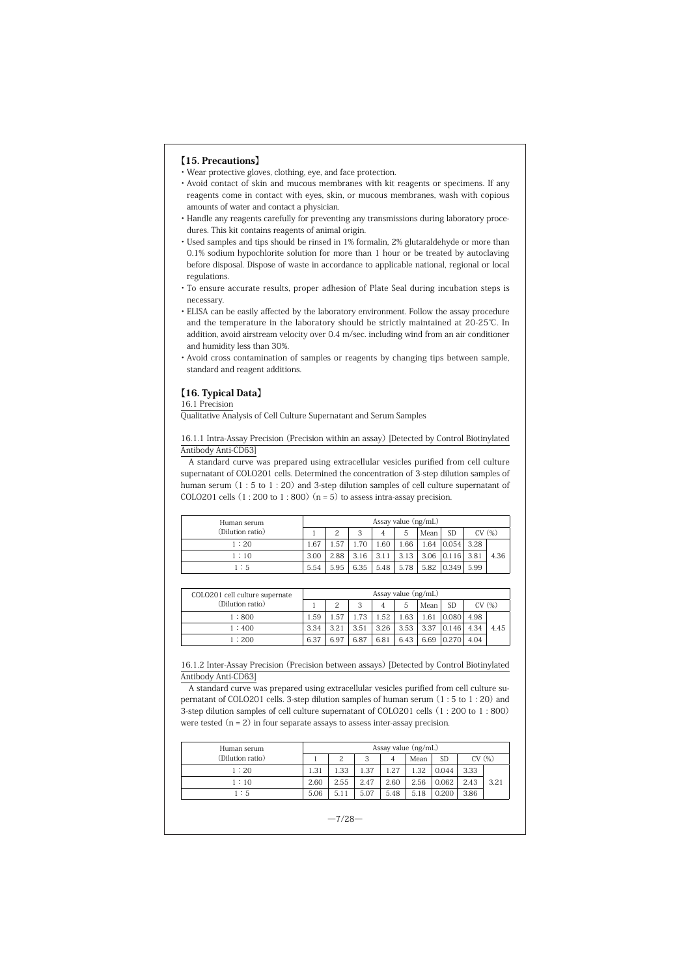#### 【15. Precautions】

- ・Wear protective gloves, clothing, eye, and face protection.
- ・ Avoid contact of skin and mucous membranes with kit reagents or specimens. If any reagents come in contact with eyes, skin, or mucous membranes, wash with copious amounts of water and contact a physician.
- ・ Handle any reagents carefully for preventing any transmissions during laboratory procedures. This kit contains reagents of animal origin.
- ・ Used samples and tips should be rinsed in 1% formalin, 2% glutaraldehyde or more than 0.1% sodium hypochlorite solution for more than 1 hour or be treated by autoclaving before disposal. Dispose of waste in accordance to applicable national, regional or local regulations.
- ・ To ensure accurate results, proper adhesion of Plate Seal during incubation steps is necessary.
- ・ ELISA can be easily affected by the laboratory environment. Follow the assay procedure and the temperature in the laboratory should be strictly maintained at 20-25℃. In addition, avoid airstream velocity over 0.4 m/sec. including wind from an air conditioner and humidity less than 30%.
- ・ Avoid cross contamination of samples or reagents by changing tips between sample, standard and reagent additions.

# 【16. Typical Data】

16.1 Precision

Qualitative Analysis of Cell Culture Supernatant and Serum Samples

16.1.1 Intra-Assay Precision (Precision within an assay) [Detected by Control Biotinylated Antibody Anti-CD63]

A standard curve was prepared using extracellular vesicles purified from cell culture supernatant of COLO201 cells. Determined the concentration of 3-step dilution samples of human serum (1 : 5 to 1 : 20) and 3-step dilution samples of cell culture supernatant of COLO201 cells  $(1:200 \text{ to } 1:800)$   $(n = 5)$  to assess intra-assay precision.

| Human serum      | Assay value (ng/mL) |      |      |      |      |      |                       |       |      |
|------------------|---------------------|------|------|------|------|------|-----------------------|-------|------|
| (Dilution ratio) |                     |      | 3    | 4    | 5    | Mean | <b>SD</b>             | CV(%) |      |
| 1:20             | 1.67                | 1.57 | 1.70 | 1.60 | 1.66 | 1.64 | $0.054$ 3.28          |       |      |
| 1:10             | 3.00                | 2.88 | 3.16 | 3.11 | 3.13 |      | $3.06$ $0.116$ $3.81$ |       | 4.36 |
| 1:5              | 5.54                | 5.95 | 6.35 | 5.48 | 5.78 |      | 5.82 0.349 5.99       |       |      |

| COLO201 cell culture supernate | Assay value $(ng/mL)$ |      |      |      |      |      |           |       |      |
|--------------------------------|-----------------------|------|------|------|------|------|-----------|-------|------|
| (Dilution ratio)               |                       |      | 3    | 4    | 5    | Mean | <b>SD</b> | CV(%) |      |
| 1:800                          | 1.59                  | 1.57 | 1.73 | 1.52 | 1.63 | 1.61 | 0.080     | 4.98  |      |
| 1:400                          | 3.34                  | 3.21 | 3.51 | 3.26 | 3.53 | 3.37 | 0.146     | 4.34  | 4.45 |
| 1:200                          | 6.37                  | 6.97 | 6.87 | 6.81 | 6.43 | 6.69 | 0.270     | 4.04  |      |

16.1.2 Inter-Assay Precision (Precision between assays) [Detected by Control Biotinylated Antibody Anti-CD63]

A standard curve was prepared using extracellular vesicles purified from cell culture supernatant of COLO201 cells. 3-step dilution samples of human serum (1 : 5 to 1 : 20) and 3-step dilution samples of cell culture supernatant of COLO201 cells (1 : 200 to 1 : 800) were tested  $(n = 2)$  in four separate assays to assess inter-assay precision.

| Human serum      | Assay value (ng/mL) |      |      |      |      |           |      |       |
|------------------|---------------------|------|------|------|------|-----------|------|-------|
| (Dilution ratio) |                     | 2    | 3    | 4    | Mean | <b>SD</b> |      | CV(%) |
| 1:20             | 1.31                | 1.33 | 1.37 | 1.27 | 1.32 | 0.044     | 3.33 |       |
| 1:10             | 2.60                | 2.55 | 2.47 | 2.60 | 2.56 | 0.062     | 2.43 | 3.21  |
| 1:5              | 5.06                | 5.11 | 5.07 | 5.48 | 5.18 | 0.200     | 3.86 |       |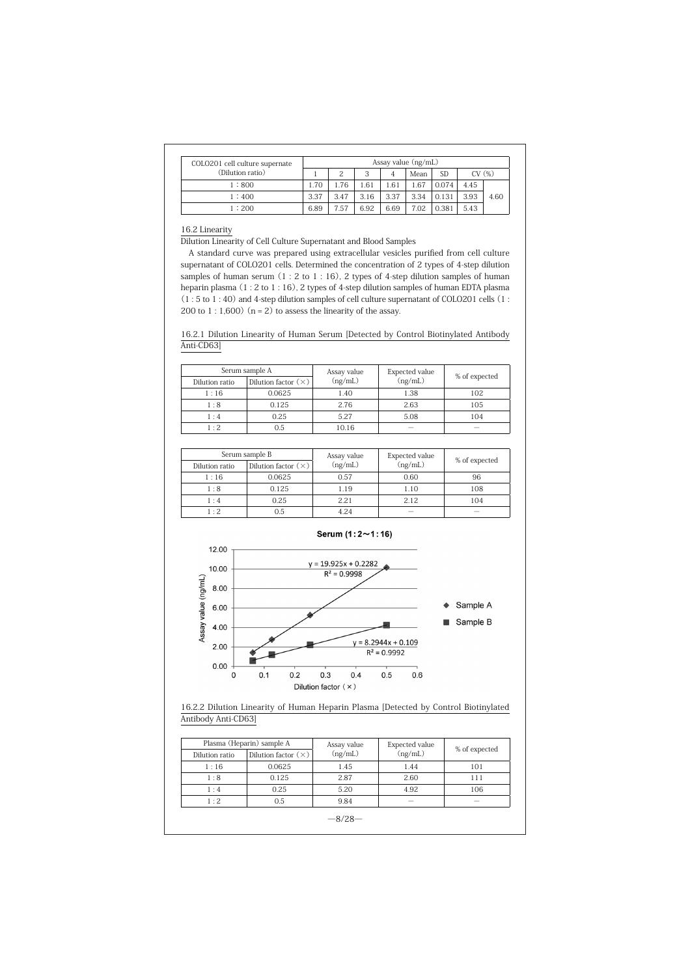| COLO201 cell culture supernate | Assay value $(ng/mL)$ |      |      |      |      |       |       |      |
|--------------------------------|-----------------------|------|------|------|------|-------|-------|------|
| (Dilution ratio)               |                       | 2    | 3    | 4    | Mean | SD    | CV(%) |      |
| 1:800                          | 1.70                  | 1.76 | 1.61 | .61  | 1.67 | 0.074 | 4.45  |      |
| 1:400                          | 3.37                  | 3.47 | 3.16 | 3.37 | 3.34 | 0.131 | 3.93  | 4.60 |
| 1:200                          | 6.89                  | 7.57 | 6.92 | 6.69 | 7.02 | 0.381 | 5.43  |      |

#### 16.2 Linearity

Dilution Linearity of Cell Culture Supernatant and Blood Samples

A standard curve was prepared using extracellular vesicles purified from cell culture supernatant of COLO201 cells. Determined the concentration of 2 types of 4-step dilution samples of human serum (1 : 2 to 1 : 16), 2 types of 4-step dilution samples of human heparin plasma (1 : 2 to 1 : 16), 2 types of 4-step dilution samples of human EDTA plasma (1 : 5 to 1 : 40) and 4-step dilution samples of cell culture supernatant of COLO201 cells (1 : 200 to 1 : 1,600) ( $n = 2$ ) to assess the linearity of the assay.

16.2.1 Dilution Linearity of Human Serum [Detected by Control Biotinylated Antibody Anti-CD63]

| Serum sample A |                            | Assay value | Expected value           | % of expected            |  |
|----------------|----------------------------|-------------|--------------------------|--------------------------|--|
| Dilution ratio | Dilution factor $(\times)$ | (ng/mL)     | (ng/mL)                  |                          |  |
| 1:16           | 0.0625                     | 1.40        | 1.38                     | 102                      |  |
| 1:8            | 0.125                      | 2.76        | 2.63                     | 105                      |  |
| 1:4            | 0.25                       | 5.27        | 5.08                     | 104                      |  |
| 1:2            | 0.5                        | 10.16       | $\overline{\phantom{a}}$ | $\overline{\phantom{a}}$ |  |

|                | Serum sample B             | Assay value | Expected value           | % of expected |  |
|----------------|----------------------------|-------------|--------------------------|---------------|--|
| Dilution ratio | Dilution factor $(\times)$ | (ng/mL)     | (ng/mL)                  |               |  |
| 1:16           | 0.0625                     | 0.57        | 0.60                     | 96            |  |
| 1:8            | 0.125                      | 1.19        | 1.10                     | 108           |  |
| 1:4            | 0.25                       | 2.21        | 2.12                     | 104           |  |
| 1:2            | 0.5                        | 4.24        | $\overline{\phantom{a}}$ |               |  |



# 16.2.2 Dilution Linearity of Human Heparin Plasma [Detected by Control Biotinylated Antibody Anti-CD63]

|                | Plasma (Heparin) sample A  | Assay value | Expected value | % of expected            |
|----------------|----------------------------|-------------|----------------|--------------------------|
| Dilution ratio | Dilution factor $(\times)$ | (ng/mL)     | (ng/mL)        |                          |
| 1:16           | 0.0625                     | 1.45        | 1.44           | 101                      |
| 1:8            | 0.125                      | 2.87        | 2.60           | 111                      |
| 1:4            | 0.25                       | 5.20        | 4.92           | 106                      |
| 1:2            | 0.5                        | 9.84        | $\sim$         | $\overline{\phantom{a}}$ |
|                |                            |             |                |                          |

 $-8/28-$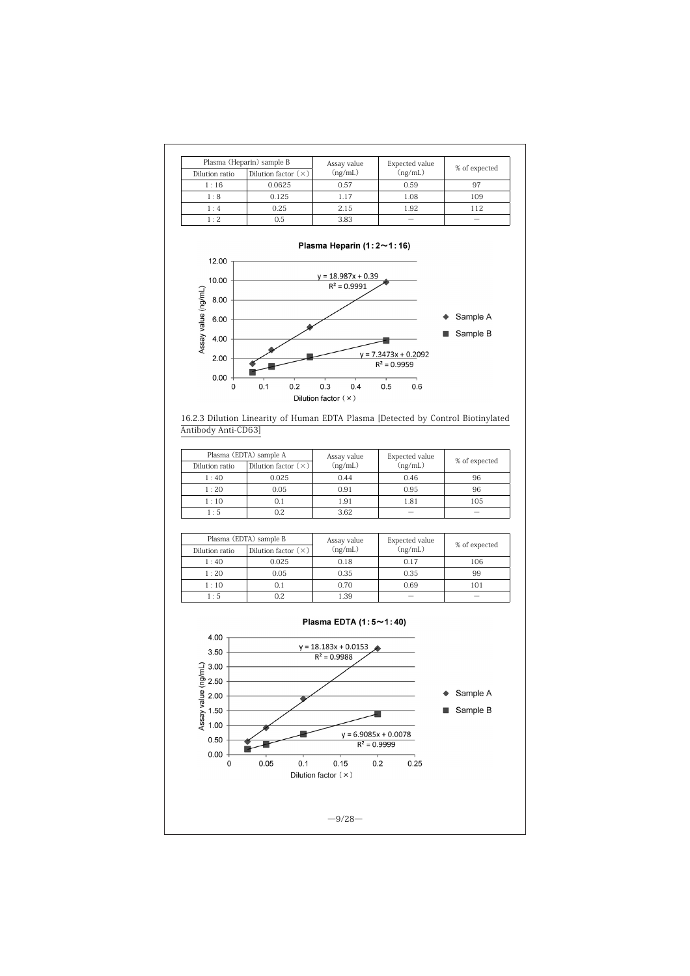| Plasma (Heparin) sample B |                            | Assay value | Expected value |               |
|---------------------------|----------------------------|-------------|----------------|---------------|
| Dilution ratio            | Dilution factor $(\times)$ | (ng/mL)     | (ng/mL)        | % of expected |
| 1:16                      | 0.0625                     | 0.57        | 0.59           | 97            |
| 1:8                       | 0.125                      | 1.17        | 1.08           | 109           |
| 1:4                       | 0.25                       | 2.15        | 1.92           | 112           |
| $1 \cdot 2$               | 0.5                        | 3.83        |                |               |





|                | Plasma (EDTA) sample A     |         | <b>Expected value</b> | % of expected |  |
|----------------|----------------------------|---------|-----------------------|---------------|--|
| Dilution ratio | Dilution factor $(\times)$ | (ng/mL) | (ng/mL)               |               |  |
| 1:40           | 0.025                      | 0.44    | 0.46                  | 96            |  |
| 1:20           | 0.05                       | 0.91    | 0.95                  | 96            |  |
| 1:10           |                            | 1.91    | 1.81                  | 105           |  |
| 1:5            |                            | 3.62    | $\sim$                |               |  |

| Plasma (EDTA) sample B |                            | Assay value | <b>Expected value</b> |               |
|------------------------|----------------------------|-------------|-----------------------|---------------|
| Dilution ratio         | Dilution factor $(\times)$ | (ng/mL)     | (ng/mL)               | % of expected |
| 1:40                   | 0.025                      | 0.18        | 0.17                  | 106           |
| 1:20                   | 0.05                       | 0.35        | 0.35                  | 99            |
| 1:10                   | 0.1                        | 0.70        | 0.69                  | 101           |
| 1:5                    | 0.2                        | 1.39        | -                     |               |

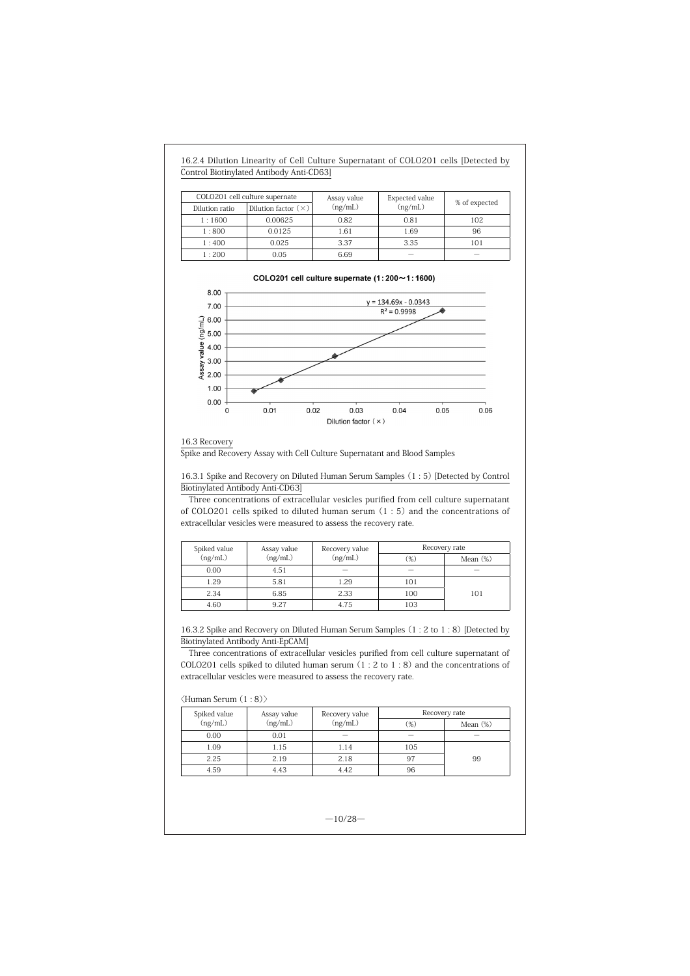| 16.2.4 Dilution Linearity of Cell Culture Supernatant of COLO201 cells [Detected by |  |
|-------------------------------------------------------------------------------------|--|
| Control Biotinylated Antibody Anti-CD63]                                            |  |

|                | COLO201 cell culture supernate | Assay value | Expected value |                          |
|----------------|--------------------------------|-------------|----------------|--------------------------|
| Dilution ratio | Dilution factor $(\times)$     | (ng/mL)     | (ng/mL)        | % of expected            |
| 1:1600         | 0.00625                        | 0.82        | 0.81           | 102                      |
| 1:800          | 0.0125                         | 1.61        | 1.69           | 96                       |
| 1:400          | 0.025                          | 3.37        | 3.35           | 101                      |
| 1:200          | 0.05                           | 6.69        | -              | $\overline{\phantom{a}}$ |



#### 16.3 Recovery

Spike and Recovery Assay with Cell Culture Supernatant and Blood Samples

16.3.1 Spike and Recovery on Diluted Human Serum Samples (1 : 5) [Detected by Control Biotinylated Antibody Anti-CD63]

Three concentrations of extracellular vesicles purified from cell culture supernatant of COLO201 cells spiked to diluted human serum (1 : 5) and the concentrations of extracellular vesicles were measured to assess the recovery rate.

| Spiked value | Assay value | Recovery value | Recovery rate            |             |
|--------------|-------------|----------------|--------------------------|-------------|
| (ng/mL)      | (ng/mL)     | (ng/mL)        | (%)                      | Mean $(\%)$ |
| 0.00         | 4.51        |                | $\overline{\phantom{a}}$ |             |
| 1.29         | 5.81        | 1.29           | 101                      |             |
| 2.34         | 6.85        | 2.33           | 100                      | 101         |
| 4.60         | 9.27        | 4.75           | 103                      |             |

16.3.2 Spike and Recovery on Diluted Human Serum Samples (1 : 2 to 1 : 8) [Detected by Biotinylated Antibody Anti-EpCAM]

Three concentrations of extracellular vesicles purified from cell culture supernatant of COLO201 cells spiked to diluted human serum (1 : 2 to 1 : 8) and the concentrations of extracellular vesicles were measured to assess the recovery rate.

#### 〈Human Serum (1 : 8)〉

| Spiked value | Assay value<br>Recovery value | Recovery rate     |        |                          |
|--------------|-------------------------------|-------------------|--------|--------------------------|
| (ng/mL)      | (ng/mL)                       | (ng/mL)           | $(\%)$ | Mean $(\%)$              |
| 0.00         | 0.01                          | $\hspace{0.05cm}$ |        | $\overline{\phantom{a}}$ |
| 1.09         | 1.15                          | 1.14              | 105    |                          |
| 2.25         | 2.19                          | 2.18              | 97     | 99                       |
| 4.59         | 4.43                          | 4.42              | 96     |                          |

 $-10/28-$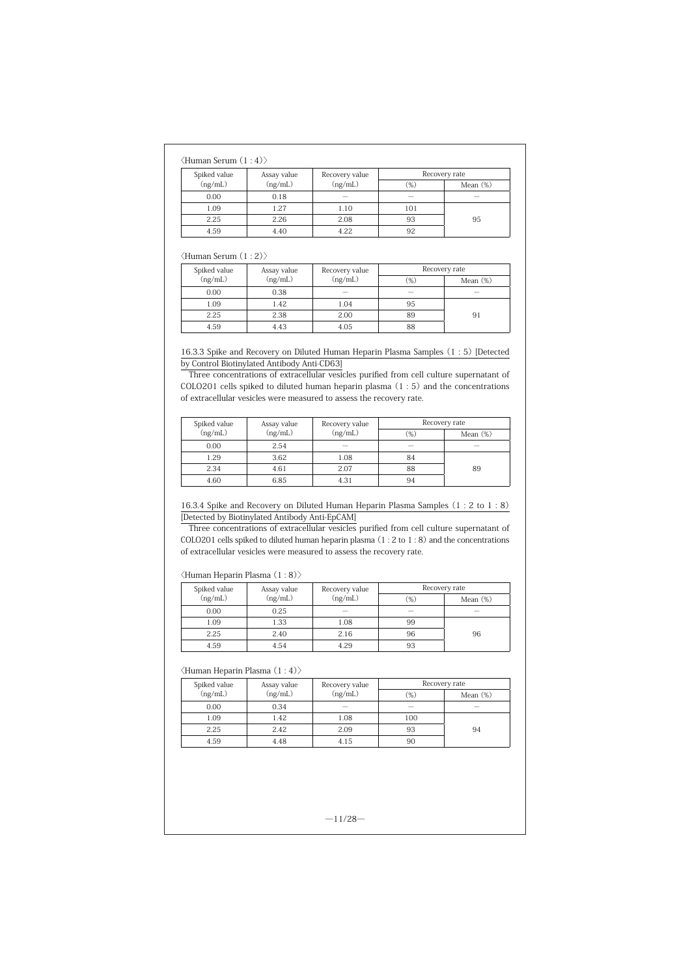## 〈Human Serum (1 : 4)〉

| Spiked value | Assay value | Recovery value           | Recovery rate |             |
|--------------|-------------|--------------------------|---------------|-------------|
| (ng/mL)      | (ng/mL)     | (ng/mL)                  | $(\%)$        | Mean $(\%)$ |
| 0.00         | 0.18        | $\overline{\phantom{a}}$ |               | -           |
| 1.09         | 1.27        | 1.10                     | 101           |             |
| 2.25         | 2.26        | 2.08                     | 93            | 95          |
| 4.59         | 4.40        | 4.22                     | 92            |             |

## 〈Human Serum (1 : 2)〉

| Spiked value | Assay value | Recovery value |        | Recovery rate            |
|--------------|-------------|----------------|--------|--------------------------|
| (ng/mL)      | (ng/mL)     | (ng/mL)        | $(\%)$ | Mean $(\%)$              |
| 0.00         | 0.38        | -              |        | $\overline{\phantom{a}}$ |
| 1.09         | 1.42        | 1.04           | 95     |                          |
| 2.25         | 2.38        | 2.00           | 89     | 91                       |
| 4.59         | 4.43        | 4.05           | 88     |                          |

16.3.3 Spike and Recovery on Diluted Human Heparin Plasma Samples (1 : 5) [Detected by Control Biotinylated Antibody Anti-CD63]

Three concentrations of extracellular vesicles purified from cell culture supernatant of COLO201 cells spiked to diluted human heparin plasma (1 : 5) and the concentrations of extracellular vesicles were measured to assess the recovery rate.

| Spiked value | Assay value | Recovery value | Recovery rate |             |
|--------------|-------------|----------------|---------------|-------------|
| (ng/mL)      | (ng/mL)     | (ng/mL)        | $(\%)$        | Mean $(\%)$ |
| 0.00         | 2.54        |                |               |             |
| 1.29         | 3.62        | 1.08           | 84            |             |
| 2.34         | 4.61        | 2.07           | 88            | 89          |
| 4.60         | 6.85        | 4.31           | 94            |             |

# 16.3.4 Spike and Recovery on Diluted Human Heparin Plasma Samples (1 : 2 to 1 : 8) [Detected by Biotinylated Antibody Anti-EpCAM]

Three concentrations of extracellular vesicles purified from cell culture supernatant of COLO201 cells spiked to diluted human heparin plasma (1 : 2 to 1 : 8) and the concentrations of extracellular vesicles were measured to assess the recovery rate.

#### 〈Human Heparin Plasma (1 : 8)〉

| Spiked value | Assay value | Recovery value           | Recovery rate            |                          |
|--------------|-------------|--------------------------|--------------------------|--------------------------|
| (ng/mL)      | (ng/mL)     | (ng/mL)                  | $(\%)$                   | Mean $(\%)$              |
| 0.00         | 0.25        | $\overline{\phantom{a}}$ | $\overline{\phantom{a}}$ | $\overline{\phantom{a}}$ |
| 1.09         | 1.33        | 1.08                     | 99                       |                          |
| 2.25         | 2.40        | 2.16                     | 96                       | 96                       |
| 4.59         | 4.54        | 4.29                     | 93                       |                          |

# 〈Human Heparin Plasma (1 : 4)〉

| Spiked value | Assay value | Recovery value | Recovery rate |             |
|--------------|-------------|----------------|---------------|-------------|
| (ng/mL)      | (ng/mL)     | (ng/mL)        | $(\%)$        | Mean $(\%)$ |
| 0.00         | 0.34        | $\sim$         |               |             |
| 1.09         | 1.42        | 1.08           | 100           |             |
| 2.25         | 2.42        | 2.09           | 93            | 94          |
| 4.59         | 4.48        | 4.15           | 90            |             |

 $-11/28-$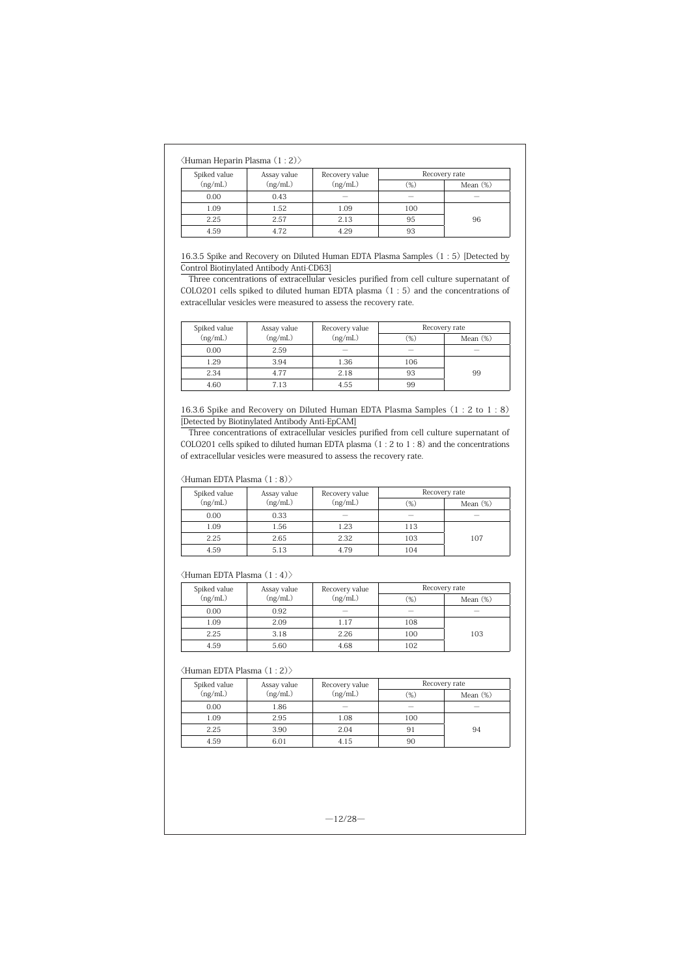## 〈Human Heparin Plasma (1 : 2)〉

| Spiked value | Assay value | Recovery rate<br>Recovery value |        |                          |
|--------------|-------------|---------------------------------|--------|--------------------------|
| (ng/mL)      | (ng/mL)     | (ng/mL)                         | $(\%)$ | Mean $(\%)$              |
| 0.00         | 0.43        | $\overline{\phantom{a}}$        | $\sim$ | $\overline{\phantom{a}}$ |
| 1.09         | 1.52        | 1.09                            | 100    |                          |
| 2.25         | 2.57        | 2.13                            | 95     | 96                       |
| 4.59         | 4.72        | 4.29                            | 93     |                          |

16.3.5 Spike and Recovery on Diluted Human EDTA Plasma Samples (1 : 5) [Detected by Control Biotinylated Antibody Anti-CD63]

Three concentrations of extracellular vesicles purified from cell culture supernatant of COLO201 cells spiked to diluted human EDTA plasma (1 : 5) and the concentrations of extracellular vesicles were measured to assess the recovery rate.

| Spiked value | Assay value | Recovery value | Recovery rate            |             |
|--------------|-------------|----------------|--------------------------|-------------|
| (ng/mL)      | (ng/mL)     | (ng/mL)        | $(\%)$                   | Mean $(\%)$ |
| 0.00         | 2.59        |                | $\overline{\phantom{a}}$ |             |
| 1.29         | 3.94        | 1.36           | 106                      |             |
| 2.34         | 4.77        | 2.18           | 93                       | 99          |
| 4.60         | 7.13        | 4.55           | 99                       |             |

16.3.6 Spike and Recovery on Diluted Human EDTA Plasma Samples (1 : 2 to 1 : 8) [Detected by Biotinylated Antibody Anti-EpCAM]

Three concentrations of extracellular vesicles purified from cell culture supernatant of COLO201 cells spiked to diluted human EDTA plasma (1 : 2 to 1 : 8) and the concentrations of extracellular vesicles were measured to assess the recovery rate.

# 〈Human EDTA Plasma (1 : 8)〉

| Spiked value<br>Assay value |         | Recovery value | Recovery rate |             |  |  |
|-----------------------------|---------|----------------|---------------|-------------|--|--|
| (ng/mL)                     | (ng/mL) | (ng/mL)        | $(\%)$        | Mean $(\%)$ |  |  |
| 0.00                        | 0.33    |                |               |             |  |  |
| 1.09                        | 1.56    | 1.23           | 113           |             |  |  |
| 2.25                        | 2.65    | 2.32           | 103           | 107         |  |  |
| 4.59                        | 5.13    | 4.79           | 104           |             |  |  |

#### 〈Human EDTA Plasma (1 : 4)〉

| Spiked value | Assay value<br>Recovery value |         | Recovery rate            |             |  |  |
|--------------|-------------------------------|---------|--------------------------|-------------|--|--|
| (ng/mL)      | (ng/mL)                       | (ng/mL) | $(\%)$                   | Mean $(\%)$ |  |  |
| 0.00         | 0.92                          |         | $\overline{\phantom{a}}$ |             |  |  |
| 1.09         | 2.09                          | 1.17    | 108                      |             |  |  |
| 2.25         | 3.18                          | 2.26    | 100                      | 103         |  |  |
| 4.59         | 5.60                          | 4.68    | 102                      |             |  |  |

#### 〈Human EDTA Plasma (1 : 2)〉

| Spiked value | Assay value | Recovery value | Recovery rate |             |  |  |
|--------------|-------------|----------------|---------------|-------------|--|--|
| (ng/mL)      | (ng/mL)     | (ng/mL)        | $(\%)$        | Mean $(\%)$ |  |  |
| 0.00         | 1.86        |                |               |             |  |  |
| 1.09         | 2.95        | 1.08           | 100           |             |  |  |
| 2.25         | 3.90        | 2.04           | 91            | 94          |  |  |
| 4.59         | 6.01        | 4.15           | 90            |             |  |  |

 $-12/28-$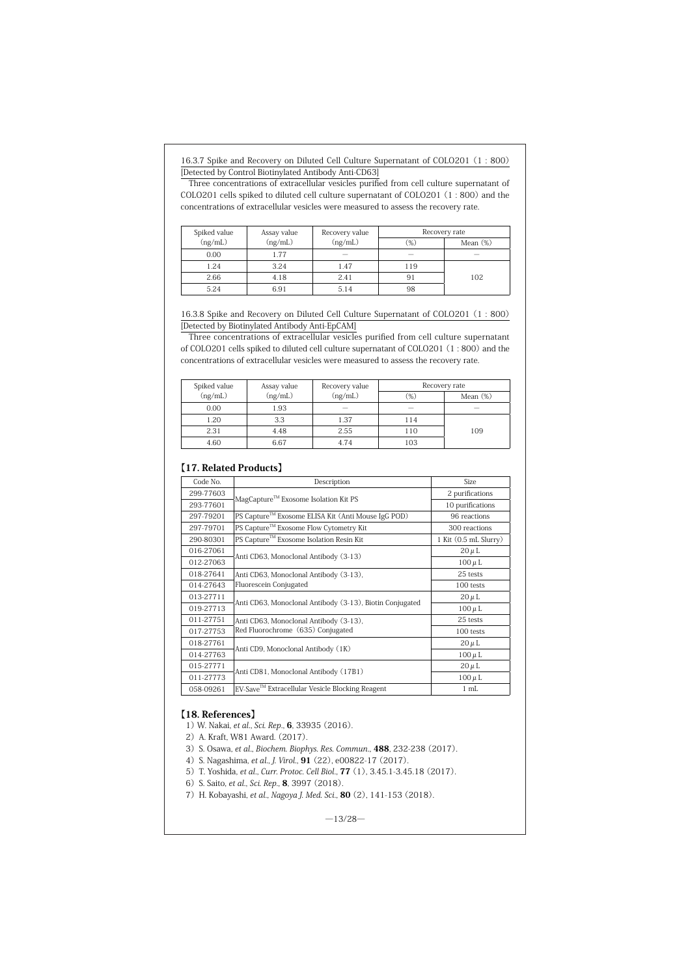16.3.7 Spike and Recovery on Diluted Cell Culture Supernatant of COLO201 (1 : 800) [Detected by Control Biotinylated Antibody Anti-CD63]

Three concentrations of extracellular vesicles purified from cell culture supernatant of COLO201 cells spiked to diluted cell culture supernatant of COLO201 (1 : 800) and the concentrations of extracellular vesicles were measured to assess the recovery rate.

| Spiked value | Assay value | Recovery value | Recovery rate |             |  |  |  |
|--------------|-------------|----------------|---------------|-------------|--|--|--|
| (ng/mL)      | (ng/mL)     | (ng/mL)        | $(\%)$        | Mean $(\%)$ |  |  |  |
| 0.00         | 1.77        |                | $\sim$        |             |  |  |  |
| 1.24         | 3.24        | 1.47           | 119           |             |  |  |  |
| 2.66         | 4.18        | 2.41           | 91            | 102         |  |  |  |
| 5.24         | 6.91        | 5.14           | 98            |             |  |  |  |

16.3.8 Spike and Recovery on Diluted Cell Culture Supernatant of COLO201 (1 : 800) [Detected by Biotinylated Antibody Anti-EpCAM]

Three concentrations of extracellular vesicles purified from cell culture supernatant of COLO201 cells spiked to diluted cell culture supernatant of COLO201 (1 : 800) and the concentrations of extracellular vesicles were measured to assess the recovery rate.

| Spiked value | Assay value<br>Recovery value |                          |        | Recovery rate            |  |
|--------------|-------------------------------|--------------------------|--------|--------------------------|--|
| (ng/mL)      | (ng/mL)                       | (ng/mL)                  | $(\%)$ | Mean $(\%)$              |  |
| 0.00         | 1.93                          | $\overline{\phantom{a}}$ | $\sim$ | $\overline{\phantom{a}}$ |  |
| 1.20         | 3.3                           | 1.37                     | 114    |                          |  |
| 2.31         | 4.48                          | 2.55                     | 110    | 109                      |  |
| 4.60         | 6.67                          | 4.74                     | 103    |                          |  |

# 【17. Related Products】

| Code No.  | Description                                              | <b>Size</b>           |
|-----------|----------------------------------------------------------|-----------------------|
| 299-77603 | MagCapture <sup>™</sup> Exosome Isolation Kit PS         | 2 purifications       |
| 293-77601 |                                                          | 10 purifications      |
| 297-79201 | PS Capture™ Exosome ELISA Kit (Anti Mouse IgG POD)       | 96 reactions          |
| 297-79701 | PS Capture™ Exosome Flow Cytometry Kit                   | 300 reactions         |
| 290-80301 | PS Capture™ Exosome Isolation Resin Kit                  | 1 Kit (0.5 mL Slurry) |
| 016-27061 | Anti CD63, Monoclonal Antibody (3-13)                    | $20 \mu L$            |
| 012-27063 |                                                          | $100 \mu L$           |
| 018-27641 | Anti CD63, Monoclonal Antibody (3-13),                   | 25 tests              |
| 014-27643 | Fluorescein Conjugated                                   | 100 tests             |
| 013-27711 | Anti CD63, Monoclonal Antibody (3-13), Biotin Conjugated | $20 \mu L$            |
| 019-27713 |                                                          | $100 \mu L$           |
| 011-27751 | Anti CD63, Monoclonal Antibody (3-13),                   | 25 tests              |
| 017-27753 | Red Fluorochrome (635) Conjugated                        | 100 tests             |
| 018-27761 | Anti CD9, Monoclonal Antibody (1K)                       | $20 \mu L$            |
| 014-27763 |                                                          | $100 \mu L$           |
| 015-27771 | Anti CD81, Monoclonal Antibody (17B1)                    | $20 \mu L$            |
| 011-27773 |                                                          | $100 \mu L$           |
| 058-09261 | EV-Save™ Extracellular Vesicle Blocking Reagent          | $1 \text{ mL}$        |

# 【18. References】

1) W. Nakai, et al., Sci. Rep., **6**, 33935 (2016).

2) A. Kraft, W81 Award. (2017).

3) S. Osawa, et al., Biochem. Biophys. Res. Commun., 488, 232-238 (2017).

- 4) S. Nagashima, et al., J. Virol., 91 (22), e00822-17 (2017).
- 5) T. Yoshida, et al., Curr. Protoc. Cell Biol., 77 (1), 3.45.1-3.45.18 (2017).

6) S. Saito, et al., Sci. Rep., 8, 3997 (2018).

7) H. Kobayashi, et al., Nagoya J. Med. Sci., **80** (2), 141-153 (2018).

 $-13/28-$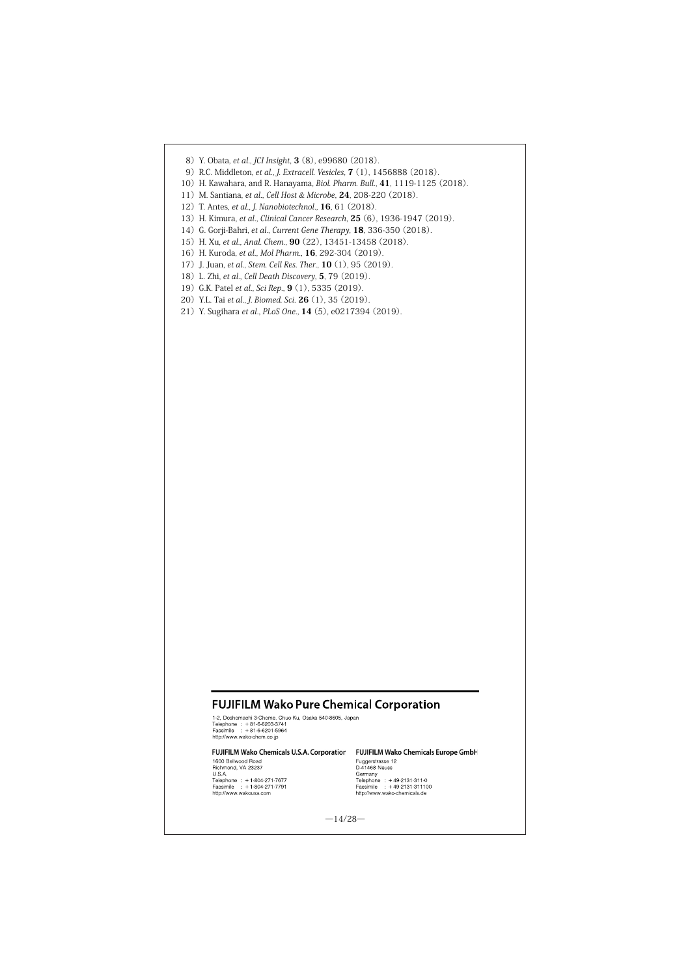- 8) Y. Obata, et al., JCI Insight, 3 (8), e99680 (2018).
- 9)R.C. Middleton, et al., J. Extracell. Vesicles, 7 (1), 1456888 (2018).
- 10) H. Kawahara, and R. Hanayama, Biol. Pharm. Bull., 41, 1119-1125 (2018).
- 11) M. Santiana, et al., Cell Host & Microbe, 24, 208-220 (2018).
- 12) T. Antes, et al., J. Nanobiotechnol., **16**, 61 (2018).
- 13) H. Kimura, et al., Clinical Cancer Research, **25** (6), 1936-1947 (2019).
- 14) G. Gorji-Bahri, et al., Current Gene Therapy, 18, 336-350 (2018).
- 15) H. Xu, et al., Anal. Chem., 90 (22), 13451-13458 (2018).
- 16) H. Kuroda, et al., Mol Pharm., 16, 292-304 (2019).
- 17) J. Juan, et al., Stem. Cell Res. Ther., **10** (1), 95 (2019).
- 18) L. Zhi, et al., Cell Death Discovery, 5, 79 (2019).
- 19) G.K. Patel et al., Sci Rep., 9 (1), 5335 (2019).
- 20) Y.L. Tai et al., J. Biomed. Sci. **26** (1), 35 (2019).
- 21) Y. Sugihara et al., PLoS One., 14 (5), e0217394 (2019).

# **FUJIFILM Wako Pure Chemical Corporation**

1.2. Doshomachi 3-Chome, Chuo-Ku, Osaka 540-8605, Japan<br>Telephone : +81-6-6203-3741<br>http://www.weko-chem.co.jp<br>http://www.weko-chem.co.jp

# FUJIFILM Wako Chemicals U.S.A. Corporation FUJIFILM Wako Chemicals Europe GmbH

**POJIPILNI WAKO CHEMICAIS**<br>1600 Bellwood Road<br>Richmond, VA 23237<br>U.S.A.<br>Telephone : +1-804-271-7677<br>Facsimile : +1-804-271-7791<br>http://www.wakousa.com

**PUJIPILIM WAKO CREMICAIS**<br>Fuggerstrasse 12<br>D-41468 Neuss<br>Telephone : +49-2131-311-0<br>Telephone : +49-2131-311100<br>http://www.wako-chemicals.de

 $-14/28-$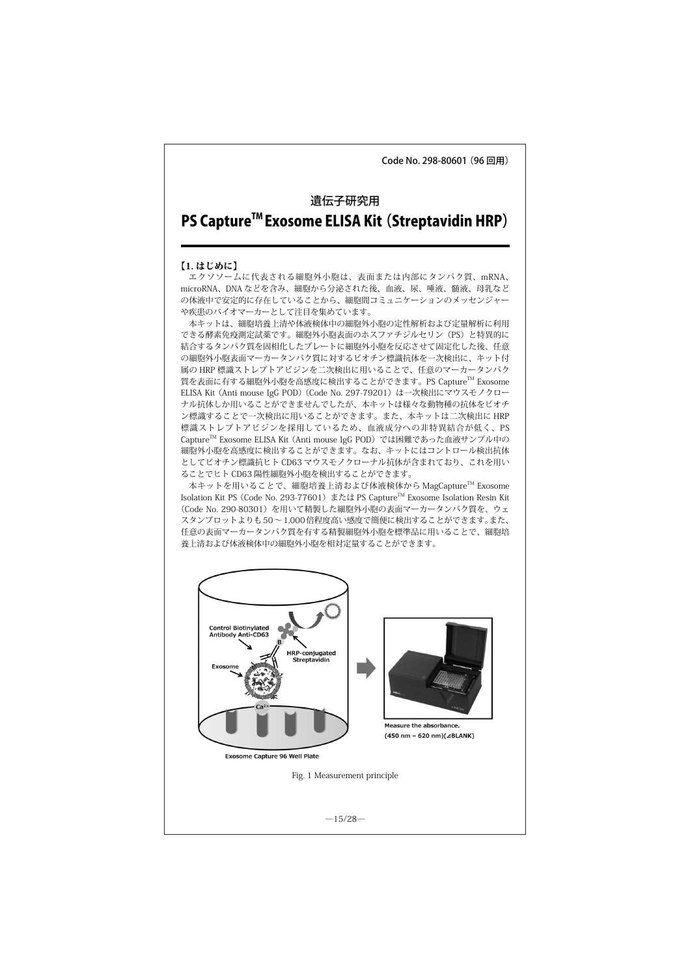Code No. 298-80601 (96 回用)

# 遺伝子研究用 PS Capture<sup>™</sup> Exosome ELISA Kit (Streptavidin HRP)

#### 【1. はじめに】

エクソソームに代表される細胞外小胞は、表面または内部にタンパク質、mRNA、 microRNA、DNA などを含み、細胞から分泌された後、血液、尿、唾液、髄液、母乳など の体液中で安定的に存在していることから、細胞間コミュニケーションのメッセンジャー や疾患のバイオマーカーとして注目を集めています。

本キットは、細胞培養上清や体液検体中の細胞外小胞の定性解析および定量解析に利用 できる酵素免疫測定試薬です。細胞外小胞表面のホスファチジルセリン(PS)と特異的に 結合するタンパク質を固相化したプレートに細胞外小胞を反応させて固定化した後、任意 の細胞外小胞表面マーカータンパク質に対するビオチン標識抗体を一次検出に、キット付 属の HRP 標識ストレプトアビジンを二次検出に用いることで、任意のマーカータンパク 質を表面に有する細胞外小胞を高感度に検出することができます。PS CaptureTM Exosome ELISA Kit (Anti mouse IgG POD) (Code No. 297-79201) は一次検出にマウスモノクロー ナル抗体しか用いることができませんでしたが、本キットは様々な動物種の抗体をビオチ ン標識することで一次検出に用いることができます。また、本キットは二次検出に HRP 標識ストレプトアビジンを採用しているため、血液成分への非特異結合が低く、PS Capture™ Exosome ELISA Kit (Anti mouse IgG POD)では困難であった血液サンプル中の 細胞外小胞を高感度に検出することができます。なお、キットにはコントロール検出抗体 としてビオチン標識抗ヒト CD63 マウスモノクローナル抗体が含まれており、これを用い ることでヒト CD63 陽性細胞外小胞を検出することができます。

本キットを用いることで、細胞培養上清および体液検体から MagCapture™ Exosome Isolation Kit PS (Code No. 293-77601) または PS Capture™ Exosome Isolation Resin Kit (Code No. 290-80301)を用いて精製した細胞外小胞の表面マーカータンパク質を、ウェ スタンブロットよりも50~1,000倍程度高い感度で簡便に検出することができます。また、 任意の表面マーカータンパク質を有する精製細胞外小胞を標準品に用いることで、細胞培 養上清および体液検体中の細胞外小胞を相対定量することができます。

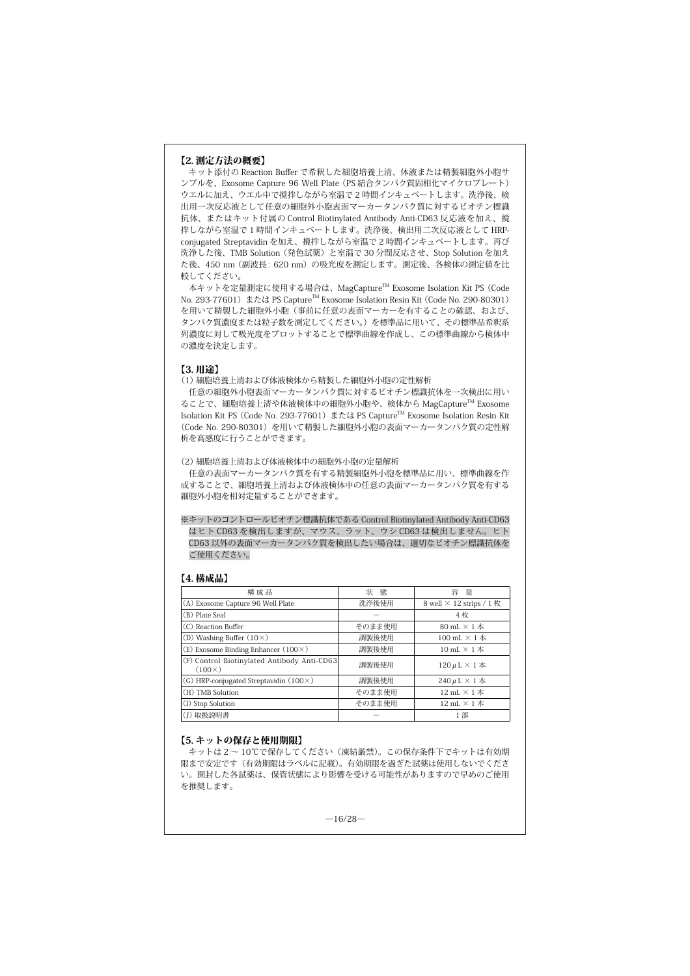#### 【2. 測定方法の概要】

キット添付の Reaction Buffer で希釈した細胞培養上清、体液または精製細胞外小胞サ ンプルを、Exosome Capture 96 Well Plate (PS 結合タンパク質固相化マイクロプレート) ウエルに加え、ウエル中で撹拌しながら室温で 2 時間インキュベートします。洗浄後、検 出用一次反応液として任意の細胞外小胞表面マーカータンパク質に対するビオチン標識 抗体、またはキット付属の Control Biotinylated Antibody Anti-CD63 反応液を加え、撹 拌しながら室温で 1 時間インキュベートします。洗浄後、検出用二次反応液として HRPconjugated Streptavidin を加え、撹拌しながら室温で 2 時間インキュベートします。再び 洗浄した後、TMB Solution (発色試薬)と室温で 30 分間反応させ、Stop Solution を加え た後、450 nm (副波長: 620 nm) の吸光度を測定します。測定後、各検体の測定値を比 較してください。

本キットを定量測定に使用する場合は、MagCaptureTM Exosome Isolation Kit PS (Code No. 293-77601) または PS Capture™ Exosome Isolation Resin Kit (Code No. 290-80301) を用いて精製した細胞外小胞(事前に任意の表面マーカーを有することの確認、および、 タンパク質濃度または粒子数を測定してください。)を標準品に用いて、その標準品希釈系 列濃度に対して吸光度をプロットすることで標準曲線を作成し、この標準曲線から検体中 の濃度を決定します。

#### 【3. 用途】

(1) 細胞培養上清および体液検体から精製した細胞外小胞の定性解析

任意の細胞外小胞表面マーカータンパク質に対するビオチン標識抗体を一次検出に用い ることで、細胞培養上清や体液検体中の細胞外小胞や、検体から MagCapture™ Exosome Isolation Kit PS (Code No. 293-77601)または PS CaptureTM Exosome Isolation Resin Kit (Code No. 290-80301)を用いて精製した細胞外小胞の表面マーカータンパク質の定性解 析を高感度に行うことができます。

(2) 細胞培養上清および体液検体中の細胞外小胞の定量解析

任意の表面マーカータンパク質を有する精製細胞外小胞を標準品に用い、標準曲線を作 成することで、細胞培養上清および体液検体中の任意の表面マーカータンパク質を有する 細胞外小胞を相対定量することができます。

※ キットのコントロールビオチン標識抗体である Control Biotinylated Antibody Anti-CD63 はヒト CD63 を検出しますが、マウス、ラット、ウシ CD63 は検出しません。ヒト CD63 以外の表面マーカータンパク質を検出したい場合は、適切なビオチン標識抗体を ご使用ください。

### 【4. 構成品】

| 構成品                                                          | 状態     | 容<br>量                          |
|--------------------------------------------------------------|--------|---------------------------------|
| (A) Exosome Capture 96 Well Plate                            | 洗浄後使用  | 8 well $\times$ 12 strips / 1 枚 |
| (B) Plate Seal                                               |        | 4枚                              |
| (C) Reaction Buffer                                          | そのまま使用 | 80 mL $\times$ 1 $\#$           |
| (D) Washing Buffer $(10\times)$                              | 調製後使用  | 100 mL $\times$ 1 $\#$          |
| (E) Exosome Binding Enhancer $(100 \times)$                  | 調製後使用  | 10 mL $\times$ 1 $\#$           |
| (F) Control Biotinylated Antibody Anti-CD63<br>$(100\times)$ | 調製後使用  | $120 \mu L \times 1$ $\#$       |
| (G) HRP-conjugated Streptavidin $(100 \times)$               | 調製後使用  | $240 \mu L \times 1$ $\#$       |
| (H) TMB Solution                                             | そのまま使用 | 12 mL $\times$ 1 $\#$           |
| (I) Stop Solution                                            | そのまま使用 | 12 mL $\times$ 1 $\#$           |
| (J) 取扱説明書                                                    |        | 1部                              |

# 【5. キットの保存と使用期限】

キットは 2 ~ 10℃で保存してください(凍結厳禁)。この保存条件下でキットは有効期 限まで安定です(有効期限はラベルに記載)。有効期限を過ぎた試薬は使用しないでくださ い。開封した各試薬は、保管状態により影響を受ける可能性がありますので早めのご使用 を推奨します。

 $-16/28-$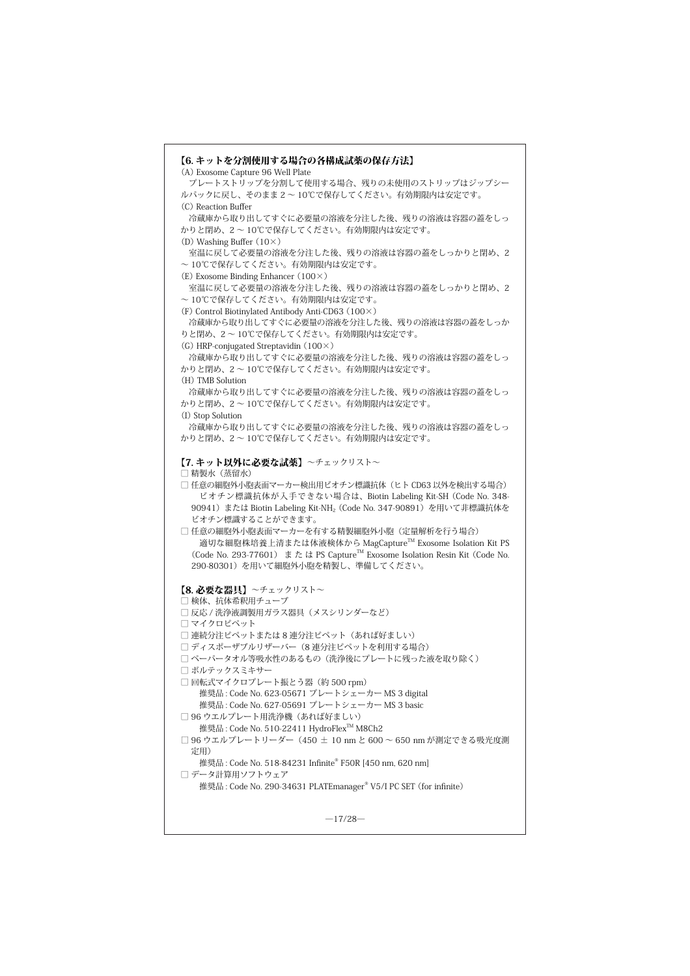```
【6. キットを分割使用する場合の各構成試薬の保存方法】
(A) Exosome Capture 96 Well Plate
 プレートストリップを分割して使用する場合、残りの未使用のストリップはジップシー
ルパックに戻し、そのまま 2 ~ 10℃で保存してください。有効期限内は安定です。
(C) Reaction Buffer
 冷蔵庫から取り出してすぐに必要量の溶液を分注した後、残りの溶液は容器の蓋をしっ
かりと閉め、2 ~ 10℃で保存してください。有効期限内は安定です。
(D) Washing Buffer (10×)
 室温に戻して必要量の溶液を分注した後、残りの溶液は容器の蓋をしっかりと閉め、2
~ 10℃で保存してください。有効期限内は安定です。
(E) Exosome Binding Enhancer (100×)
 室温に戻して必要量の溶液を分注した後、残りの溶液は容器の蓋をしっかりと閉め、2
~ 10℃で保存してください。有効期限内は安定です。
(F) Control Biotinylated Antibody Anti-CD63 (100×)
 冷蔵庫から取り出してすぐに必要量の溶液を分注した後、残りの溶液は容器の蓋をしっか
りと閉め、2 ~ 10℃で保存してください。有効期限内は安定です。
(G) HRP-conjugated Streptavidin (100×)
 冷蔵庫から取り出してすぐに必要量の溶液を分注した後、残りの溶液は容器の蓋をしっ
かりと閉め、2 ~ 10℃で保存してください。有効期限内は安定です。
(H) TMB Solution
 冷蔵庫から取り出してすぐに必要量の溶液を分注した後、残りの溶液は容器の蓋をしっ
かりと閉め、2 ~ 10℃で保存してください。有効期限内は安定です。
(I) Stop Solution
 冷蔵庫から取り出してすぐに必要量の溶液を分注した後、残りの溶液は容器の蓋をしっ
かりと閉め、2 ~ 10℃で保存してください。有効期限内は安定です。
【7. キット以外に必要な試薬】~チェックリスト~
□ 精製水(蒸留水)
□ 任意の細胞外小胞表面マーカー検出用ビオチン標識抗体(ヒト CD63 以外を検出する場合)
   ビオチン標識抗体が入手できない場合は、Biotin Labeling Kit-SH (Code No. 348-
 90941)または Biotin Labeling Kit-NH<sub>2</sub> (Code No. 347-90891)を用いて非標識抗体を
 ビオチン標識することができます。
□ 任意の細胞外小胞表面マーカーを有する精製細胞外小胞(定量解析を行う場合)
   適切な細胞株培養上清または体液検体から MagCapture™ Exosome Isolation Kit PS
 (Code No. 293-77601) ま た は PS CaptureTM Exosome Isolation Resin Kit (Code No. 
 290-80301)を用いて細胞外小胞を精製し、準備してください。
【8. 必要な器具】~チェックリスト~
□ 検体、抗体希釈用チューブ
□ 反応 / 洗浄液調製用ガラス器具(メスシリンダーなど)
□ マイクロピペット
□ 連続分注ピペットまたは8連分注ピペット(あれば好ましい)
□ ディスポーザブルリザーバー(8 連分注ピペットを利用する場合)
□ ペーパータオル等吸水性のあるもの(洗浄後にプレートに残った液を取り除く)
□ ボルテックスミキサー
□ 回転式マイクロプレート振とう器(約 500 rpm)
      推奨品 : Code No. 623-05671 プレートシェーカー MS 3 digital
      推奨品 : Code No. 627-05691 プレートシェーカー MS 3 basic
□ 96 ウエルプレート用洗浄機(あれば好ましい)
  推奨品 : Code No. 510-22411 HydroFlex™ M8Ch2
□ 96 ウエルプレートリーダー(450 ± 10 nm と 600 ~ 650 nm が測定できる吸光度測
 定用)
   推奨品 : Code No. 518-84231 Infinite®
 F50R [450 nm, 620 nm]
□ データ計算用ソフトウェア
   推奨品 : Code No. 290-34631 PLATEmanager®
 V5/I PC SET (for infinite)
                       -17/28-
```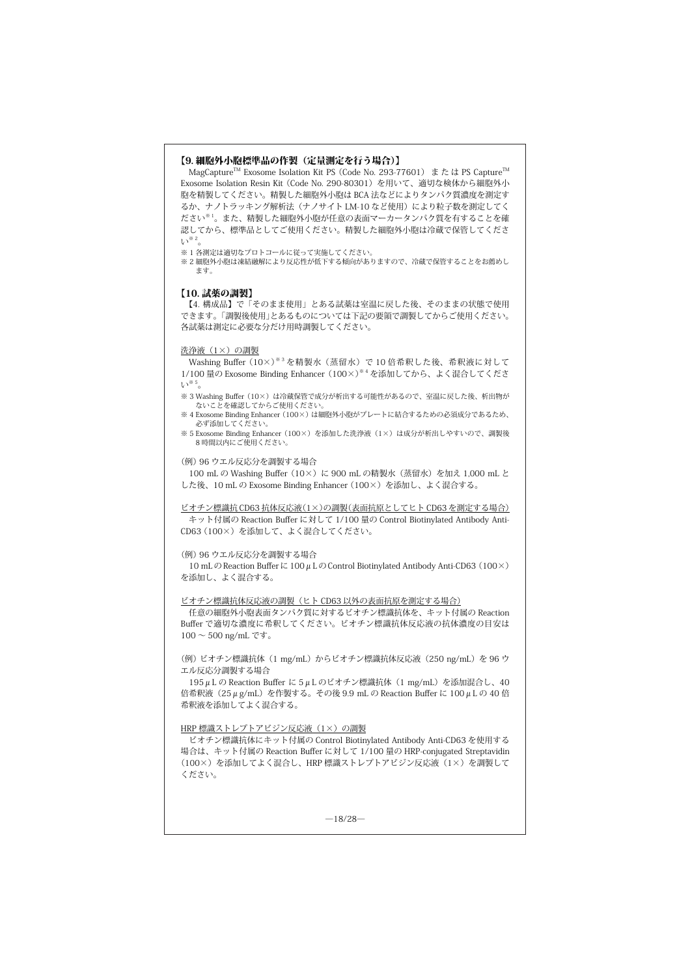### 【9. 細胞外小胞標準品の作製(定量測定を行う場合)】

MagCapture<sup>™</sup> Exosome Isolation Kit PS (Code No. 293-77601) または PS Capture<sup>™</sup> Exosome Isolation Resin Kit (Code No. 290-80301)を用いて、適切な検体から細胞外小 胞を精製してください。精製した細胞外小胞は BCA 法などによりタンパク質濃度を測定す るか、ナノトラッキング解析法(ナノサイト LM-10 など使用)により粒子数を測定してく ださい※ 1。また、精製した細胞外小胞が任意の表面マーカータンパク質を有することを確 認してから、標準品としてご使用ください。精製した細胞外小胞は冷蔵で保管してくださ い※ 2。

※1各測定は適切なプロトコールに従って実施してください

※ 2 細胞外小胞は凍結融解により反応性が低下する傾向がありますので、冷蔵で保管することをお薦めし ます。

#### 【10. 試薬の調製】

【4. 構成品】で「そのまま使用」とある試薬は室温に戻した後、そのままの状態で使用 できます。「調製後使用」とあるものについては下記の要領で調製してからご使用ください。 各試薬は測定に必要な分だけ用時調製してください。

#### 洗浄液(1×)の調製

Washing Buffer (10×)※ 3 を精製水(蒸留水)で 10 倍希釈した後、希釈液に対して 1/100 量の Exosome Binding Enhancer (100×)※ 4 を添加してから、よく混合してくださ い※

※ 3 Washing Buffer (10×) は冷蔵保管で成分が析出する可能性があるので、室温に戻した後、析出物が ないことを確認してからご使用ください。<br>※ 4 Exosome Binding Enhancer (100×) は細胞外小胞がプレートに結合するための必須成分であるため、

必ず添加してください。

※ 5 Exosome Binding Enhancer (100×)を添加した洗浄液(1×)は成分が析出しやすいので、調製後 8 時間以内にご使用ください。

(例) 96 ウエル反応分を調製する場合

100 mL の Washing Buffer (10×) に 900 mL の精製水 (蒸留水) を加え 1,000 mL と した後、10 mL の Exosome Binding Enhancer (100×)を添加し、よく混合する。

ビオチン標識抗 CD63 抗体反応液(1×)の調製(表面抗原としてヒト CD63 を測定する場合) キット付属の Reaction Buffer に対して 1/100 量の Control Biotinylated Antibody Anti-CD63 (100×)を添加して、よく混合してください。

#### (例) 96 ウエル反応分を調製する場合

10 mL の Reaction Buffer に 100  $\mu$  L の Control Biotinylated Antibody Anti-CD63 (100×) を添加し、よく混合する。

ビオチン標識抗体反応液の調製(ヒト CD63 以外の表面抗原を測定する場合)

任意の細胞外小胞表面タンパク質に対するビオチン標識抗体を、キット付属の Reaction Buffer で適切な濃度に希釈してください。ビオチン標識抗体反応液の抗体濃度の目安は  $100 \sim 500$ ng/mL です。

(例) ビオチン標識抗体 (1 mg/mL) からビオチン標識抗体反応液 (250 ng/mL) を 96 ウ エル反応分調製する場合

195μL の Reaction Buffer に 5μL のビオチン標識抗体(1 mg/mL)を添加混合し、40 倍希釈液(25μg/mL)を作製する。その後 9.9 mL の Reaction Buffer に 100μL の 40 倍 希釈液を添加してよく混合する。

HRP 標識ストレプトアビジン反応液 (1×)の調製

ビオチン標識抗体にキット付属の Control Biotinylated Antibody Anti-CD63 を使用する 場合は、キット付属の Reaction Buffer に対して 1/100 量の HRP-conjugated Streptavidin (100×)を添加してよく混合し、HRP 標識ストレプトアビジン反応液(1×)を調製して ください。

 $-18/28-$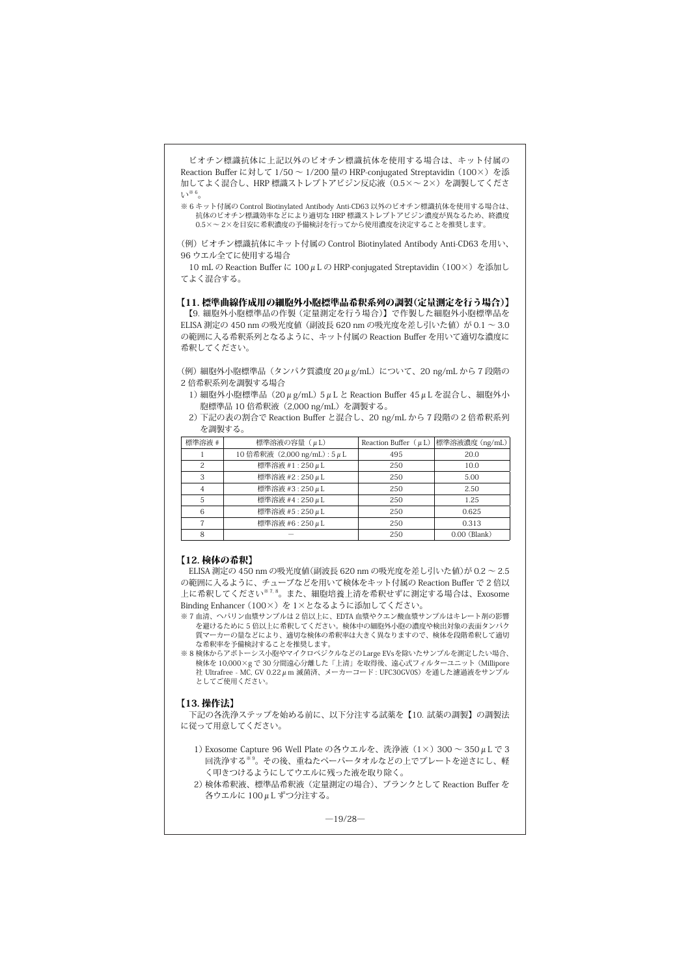ビオチン標識抗体に上記以外のビオチン標識抗体を使用する場合は、キット付属の Reaction Buffer に対して 1/50 ~ 1/200 量の HRP-conjugated Streptavidin (100×) を添 加してよく混合し、HRP 標識ストレプトアビジン反応液(0.5×~ 2×)を調製してくださ  $V^{\ast 6}$ 

※ 6 キット付属の Control Biotinylated Antibody Anti-CD63 以外のビオチン標識抗体を使用する場合は、 抗体のビオチン標識効率などにより適切な HRP 標識ストレプトアビジン濃度が異なるため、終濃度 0.5×~ 2×を目安に希釈濃度の予備検討を行ってから使用濃度を決定することを推奨します。

(例) ビオチン標識抗体にキット付属の Control Biotinylated Antibody Anti-CD63 を用い、 96 ウエル全てに使用する場合

10 mL の Reaction Buffer に 100μL の HRP-conjugated Streptavidin (100×) を添加し てよく混合する。

#### 【11. 標準曲線作成用の細胞外小胞標準品希釈系列の調製(定量測定を行う場合)】

【9. 細胞外小胞標準品の作製 (定量測定を行う場合)】で作製した細胞外小胞標準品を ELISA 測定の 450 nm の吸光度値 (副波長 620 nm の吸光度を差し引いた値)が 0.1 ~ 3.0 の範囲に入る希釈系列となるように、キット付属の Reaction Buffer を用いて適切な濃度に 希釈してください。

(例) 細胞外小胞標準品(タンパク質濃度 20μg/mL)について、20 ng/mL から 7 段階の 2 倍希釈系列を調製する場合

1) 細胞外小胞標準品(20μg/mL) 5μL と Reaction Buffer 45μL を混合し、細胞外小 胞標準品 10 倍希釈液(2,000 ng/mL)を調製する。

2) 下記の表の割合で Reaction Buffer と混合し、20 ng/mL から 7 段階の 2 倍希釈系列 を調製する。

| 標準溶液 # | 標準溶液の容量 (µL)                 |     | Reaction Buffer $(\mu L)$ 標準溶液濃度 $(ng/mL)$ |
|--------|------------------------------|-----|--------------------------------------------|
|        | 10 倍希釈液 (2,000 ng/mL): 5 μ L | 495 | 20.0                                       |
|        | 標準溶液 #1:250μL                | 250 | 10.0                                       |
|        | 標準溶液 #2:250μL                | 250 | 5.00                                       |
|        | 標準溶液 #3:250μL                | 250 | 2.50                                       |
| 5      | 標準溶液 #4:250μL                | 250 | 1.25                                       |
|        | 標準溶液 #5:250μL                | 250 | 0.625                                      |
|        | 標準溶液 #6:250μL                | 250 | 0.313                                      |
|        |                              | 250 | $0.00$ (Blank)                             |

# 【12. 検体の希釈】

ELISA 測定の 450 nm の吸光度値(副波長 620 nm の吸光度を差し引いた値)が 0.2 ~ 2.5 の範囲に入るように、チューブなどを用いて検体をキット付属の Reaction Buffer で 2 倍以 ーローッ・・・・。<br>上に希釈してください<sup>※7,8</sup>。また、細胞培養上清を希釈せずに測定する場合は、Exosome Binding Enhancer (100×)を 1×となるように添加してください。

※ 7 血清、ヘパリン血漿サンプルは 2 倍以上に、EDTA 血漿やクエン酸血漿サンプルはキレート剤の影響 を避けるために 5 倍以上に希釈してください。検体中の細胞外小胞の濃度や検出対象の表面タンパク 質マーカーの量などにより、適切な検体の希釈率は大きく異なりますので、検体を段階希釈して適切 。<br>な希釈率を予備検討することを推奨します。

※ 8 検体からアポトーシス小胞やマイクロベジクルなどのLarge EVsを除いたサンプルを測定したい場合、 検体を 10,000×g で 30 分間遠心分離した「上清」を取得後、遠心式フィルターユニット (Millipore 社 Ultrafree - MC, GV 0.22μm 滅菌済、メーカーコード : UFC30GV0S)を通した濾過液をサンプル<br>としてご使用ください。

## 【13. 操作法】

下記の各洗浄ステップを始める前に、以下分注する試薬を【10. 試薬の調製】の調製法 に従って用意してください。

- 1) Exosome Capture 96 Well Plate の各ウエルを、洗浄液 (1×) 300 ~ 350 μ L で 3 回洗浄する※ 9。その後、重ねたペーパータオルなどの上でプレートを逆さにし、軽 く叩きつけるようにしてウエルに残った液を取り除く。
- 2) 検体希釈液、標準品希釈液(定量測定の場合)、ブランクとして Reaction Buffer を 各ウエルに 100μL ずつ分注する。

 $-19/28-$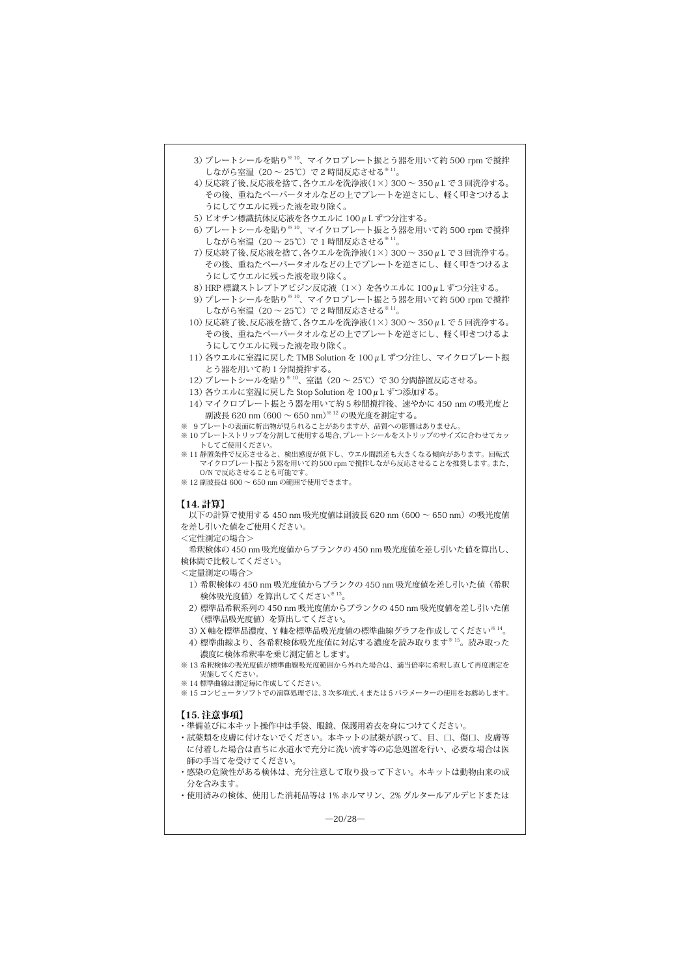| 3) プレートシールを貼り <sup>※10</sup> 、マイクロプレート振とう器を用いて約500 rpm で撹拌<br>しながら室温 (20~25℃) で2時間反応させる <sup>※11</sup> 。<br>4) 反応終了後、反応液を捨て、各ウエルを洗浄液(1×) 300~350μLで3回洗浄する。<br>その後、重ねたペーパータオルなどの上でプレートを逆さにし、軽く叩きつけるよ<br>うにしてウエルに残った液を取り除く。 |
|---------------------------------------------------------------------------------------------------------------------------------------------------------------------------------------------------------------------------|
| 5) ビオチン標識抗体反応液を各ウエルに 100μL ずつ分注する。<br>6) プレートシールを貼り <sup>※10</sup> 、マイクロプレート振とう器を用いて約500 rpm で撹拌<br>しながら室温 (20~25℃) で1時間反応させる <sup>※11</sup> 。                                                                            |
| 7) 反応終了後、反応液を捨て、各ウエルを洗浄液(1×) 300~350μLで3回洗浄する。<br>その後、重ねたペーパータオルなどの上でプレートを逆さにし、軽く叩きつけるよ<br>うにしてウエルに残った液を取り除く。                                                                                                             |
| 8) HRP 標識ストレプトアビジン反応液 (1×) を各ウエルに 100μL ずつ分注する。<br>9) プレートシールを貼り <sup>※10</sup> 、マイクロプレート振とう器を用いて約500 rpm で撹拌<br>しながら室温 (20~25℃)で2時間反応させる <sup>※11</sup> 。                                                                |
| 10) 反応終了後、反応液を捨て、各ウエルを洗浄液(1×) 300~350μLで5回洗浄する。<br>その後、重ねたペーパータオルなどの上でプレートを逆さにし、軽く叩きつけるよ<br>うにしてウエルに残った液を取り除く。                                                                                                            |
| 11) 各ウエルに室温に戻した TMB Solution を 100μL ずつ分注し、マイクロプレート振<br>とう器を用いて約1分間撹拌する。<br>12) プレートシールを貼り <sup>※10</sup> 、室温 (20~25℃) で30分間静置反応させる。                                                                                      |
| 13) 各ウエルに室温に戻した Stop Solution を 100μL ずつ添加する。<br>14) マイクロプレート振とう器を用いて約5秒間撹拌後、速やかに450 nm の吸光度と<br>副波長 620 nm (600 ~ 650 nm) <sup>※12</sup> の吸光度を測定する。                                                                      |
| ※ 9プレートの表面に析出物が見られることがありますが、品質への影響はありません。<br>※ 10 プレートストリップを分割して使用する場合、プレートシールをストリップのサイズに合わせてカッ<br>トしてご使用ください。                                                                                                            |
| ※11 静置条件で反応させると、検出感度が低下し、ウエル間誤差も大きくなる傾向があります。回転式<br>マイクロプレート振とう器を用いて約 500 rpmで撹拌しながら反応させることを推奨します。 また、<br>O/N で反応させることも可能です。<br>※12 副波長は 600 ~ 650 nm の範囲で使用できます。                                                         |
| 【14. 計算】<br>以下の計算で使用する 450 nm 吸光度値は副波長 620 nm (600 ~ 650 nm) の吸光度値<br>を差し引いた値をご使用ください。<br><定性測定の場合>                                                                                                                       |
| 希釈検体の 450 nm 吸光度値からブランクの 450 nm 吸光度値を差し引いた値を算出し、<br>検体間で比較してください。<br><定量測定の場合>                                                                                                                                            |
| 1) 希釈検体の 450 nm 吸光度値からブランクの 450 nm 吸光度値を差し引いた値 (希釈<br>検体吸光度値)を算出してください <sup>※13</sup> 。                                                                                                                                   |
| 2) 標準品希釈系列の 450 nm 吸光度値からブランクの 450 nm 吸光度値を差し引いた値<br>(標準品吸光度値)を算出してください。<br>3) X 軸を標準品濃度、Y 軸を標準品吸光度値の標準曲線グラフを作成してください <sup>※14</sup> 。                                                                                    |
| 4) 標準曲線より、各希釈検体吸光度値に対応する濃度を読み取ります <sup>※15</sup> 。読み取った<br>濃度に検体希釈率を乗じ測定値とします。                                                                                                                                            |
| ※13 希釈検体の吸光度値が標準曲線吸光度範囲から外れた場合は、適当倍率に希釈し直して再度測定を<br>実施してくたさい。<br>※ 14 標準曲線は測定毎に作成してください。<br>※ 15 コンピュータソフトでの演算処理では、3 次多項式、4 または 5 パラメーターの使用をお薦めします。                                                                       |
| 【15. 注意事項】<br>・準備並びに本キット操作中は手袋、眼鏡、保護用着衣を身につけてください。                                                                                                                                                                        |
| ・試薬類を皮膚に付けないでください。本キットの試薬が誤って、目、口、傷口、皮膚等<br>に付着した場合は直ちに水道水で充分に洗い流す等の応急処置を行い、必要な場合は医                                                                                                                                       |
| 師の手当てを受けてください。<br>・感染の危険性がある検体は、充分注意して取り扱って下さい。本キットは動物由来の成<br>分を含みます。                                                                                                                                                     |
| ・使用済みの検体、使用した消耗品等は 1% ホルマリン、2% グルタールアルデヒドまたは<br>-20/28—                                                                                                                                                                   |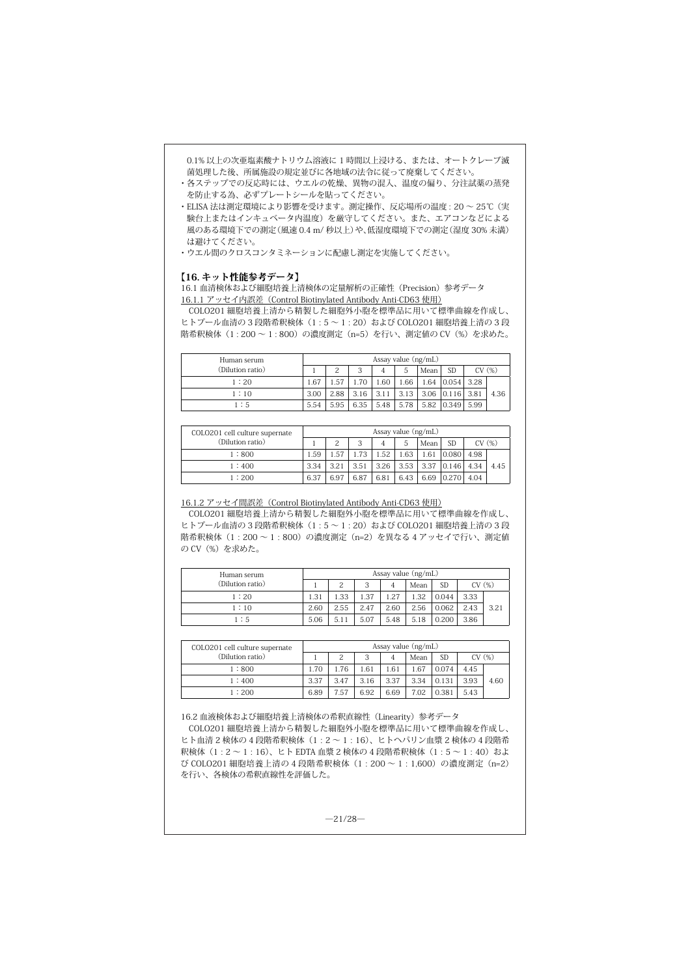0.1% 以上の次亜塩素酸ナトリウム溶液に 1 時間以上浸ける、または、オートクレーブ滅 菌処理した後、所属施設の規定並びに各地域の法令に従って廃棄してください。

- ・ 各ステップでの反応時には、ウエルの乾燥、異物の混入、温度の偏り、分注試薬の蒸発 を防止する為、必ずプレートシールを貼ってください。
- ・ ELISA 法は測定環境により影響を受けます。測定操作、反応場所の温度 : 20 ~ 25℃ (実 験台上またはインキュベータ内温度)を厳守してください。また、エアコンなどによる 風のある環境下での測定(風速 0.4 m/ 秒以上)や、低湿度環境下での測定(湿度 30% 未満) は避けてください。
- ・ウエル間のクロスコンタミネーションに配慮し測定を実施してください。

#### 【16. キット性能参考データ】

16.1 血清検体および細胞培養上清検体の定量解析の正確性(Precision)参考データ 16.1.1 アッセイ内誤差(Control Biotinylated Antibody Anti-CD63 使用)

COLO201 細胞培養上清から精製した細胞外小胞を標準品に用いて標準曲線を作成し、 ヒトプール血清の 3 段階希釈検体 (1:5~1:20) および COLO201 細胞培養上清の 3 段 階希釈検体 (1:200~1:800)の濃度測定 (n=5) を行い、測定値の CV (%) を求めた。

| Human serum      |      | Assay value (ng/mL) |      |                |      |      |              |       |      |
|------------------|------|---------------------|------|----------------|------|------|--------------|-------|------|
| (Dilution ratio) |      | 2                   | 3    | $\overline{4}$ | 5    | Mean | <b>SD</b>    | CV(%) |      |
| 1:20             | 1.67 | 1.57                | 1.70 | 1.60           | 1.66 | 1.64 | $0.054$ 3.28 |       |      |
| 1:10             | 3.00 | 2.88                | 3.16 | 3.11           | 3.13 |      | $3.06$ 0.116 | 3.81  | 4.36 |
| 1:5              | 5.54 | 5.95                | 6.35 | 5.48           | 5.78 |      | 5.82 0.349   | 5.99  |      |

| COLO201 cell culture supernate<br>(Dilution ratio) |      | Assay value $(ng/mL)$ |      |      |      |      |            |       |      |  |
|----------------------------------------------------|------|-----------------------|------|------|------|------|------------|-------|------|--|
|                                                    |      | 2                     | 3    | 4    | 5    | Mean | <b>SD</b>  | CV(%) |      |  |
| 1:800                                              | 1.59 | 1.57                  | 1.73 | 1.52 | 1.63 | 1.61 | 0.080      | 4.98  |      |  |
| 1:400                                              | 3.34 | 3.21                  | 3.51 | 3.26 | 3.53 | 3.37 | 0.146      | 4.34  | 4.45 |  |
| 1:200                                              | 6.37 | 6.97                  | 6.87 | 6.81 | 6.43 |      | 6.69 0.270 | 4.04  |      |  |

#### 16.1.2 アッセイ間誤差(Control Biotinylated Antibody Anti-CD63 使用)

COLO201 細胞培養上清から精製した細胞外小胞を標準品に用いて標準曲線を作成し、 ヒトプール血清の3段階希釈検体 (1:5~1:20) および COLO201 細胞培養上清の3段 階希釈検体 (1:200~1:800)の濃度測定 (n=2) を異なる 4 アッセイで行い、測定値 の CV (%) を求めた。

| Human serum      | Assay value (ng/mL) |      |      |      |      |           |       |      |  |
|------------------|---------------------|------|------|------|------|-----------|-------|------|--|
| (Dilution ratio) |                     | 2    | 3    | 4    | Mean | <b>SD</b> | CV(%) |      |  |
| 1:20             | 1.31                | 1.33 | 1.37 | 1.27 | 1.32 | 0.044     | 3.33  |      |  |
| 1:10             | 2.60                | 2.55 | 2.47 | 2.60 | 2.56 | 0.062     | 2.43  | 3.21 |  |
| 1:5              | 5.06                | 5.11 | 5.07 | 5.48 | 5.18 | 0.200     | 3.86  |      |  |

| COLO201 cell culture supernate |      |      |      |      | Assay value $(ng/mL)$ |           |       |      |
|--------------------------------|------|------|------|------|-----------------------|-----------|-------|------|
| (Dilution ratio)               |      | 2    | 3    | 4    | Mean                  | <b>SD</b> | CV(%) |      |
| 1:800                          | 1.70 | . 76 | 1.61 | 1.61 | 1.67                  | 0.074     | 4.45  |      |
| 1:400                          | 3.37 | 3.47 | 3.16 | 3.37 | 3.34                  | 0.131     | 3.93  | 4.60 |
| 1:200                          | 6.89 | 7.57 | 6.92 | 6.69 | 7.02                  | 0.381     | 5.43  |      |

16.2 血液検体および細胞培養上清検体の希釈直線性(Linearity)参考データ

COLO201 細胞培養上清から精製した細胞外小胞を標準品に用いて標準曲線を作成し、 ヒト血清 2 検体の 4 段階希釈検体(1 : 2 ~ 1 : 16)、ヒトヘパリン血漿 2 検体の 4 段階希 釈検体 (1:2~1:16)、ヒト EDTA 血漿 2 検体の 4 段階希釈検体 (1:5~1:40) およ び COLO201 細胞培養上清の 4 段階希釈検体(1 : 200 ~ 1 : 1,600)の濃度測定(n=2) を行い、各検体の希釈直線性を評価した。

 $-21/28-$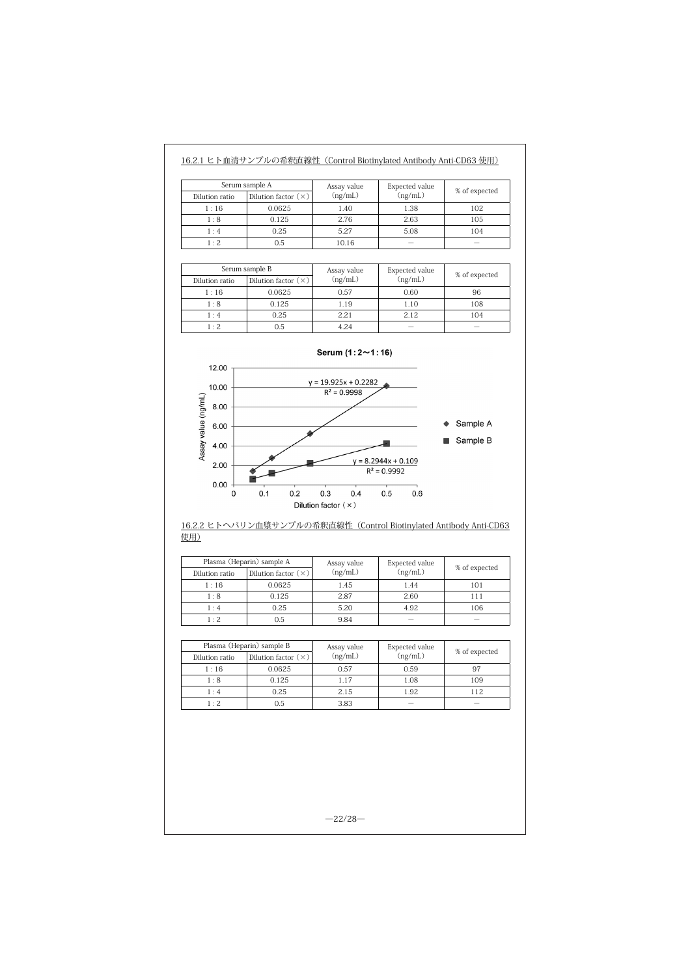| Serum sample A<br>Dilution factor $(\times)$<br>Dilution ratio |        | Assay value<br>(ng/mL) | Expected value<br>(ng/mL) | % of expected |
|----------------------------------------------------------------|--------|------------------------|---------------------------|---------------|
| 1:16                                                           | 0.0625 | 1.40                   | 1.38                      | 102           |
| 1:8                                                            | 0.125  | 2.76                   | 2.63                      | 105           |
| 1:4                                                            | 0.25   | 5.27                   | 5.08                      | 104           |
| $1 \cdot 2$                                                    | 0.5    | 10.16                  | $\overline{\phantom{a}}$  |               |

16.2.1 ヒト血清サンプルの希釈直線性(Control Biotinylated Antibody Anti-CD63 使用)

| Serum sample B |                            | Assay value | <b>Expected</b> value | % of expected |
|----------------|----------------------------|-------------|-----------------------|---------------|
| Dilution ratio | Dilution factor $(\times)$ | (ng/mL)     | (ng/mL)               |               |
| 1:16           | 0.0625                     | 0.57        | 0.60                  | 96            |
| 1:8            | 0.125                      | 1.19        | 1.10                  | 108           |
| 1:4            | 0.25                       | 2.21        | 2.12                  | 104           |
| 1:2            | 0.5                        | 4.24        |                       |               |



# 16.2.2 ヒトヘパリン血漿サンプルの希釈直線性 (Control Biotinylated Antibody Anti-CD63 使用)

|                | Plasma (Heparin) sample A  | Assay value | Expected value | % of expected |  |
|----------------|----------------------------|-------------|----------------|---------------|--|
| Dilution ratio | Dilution factor $(\times)$ | (ng/mL)     | (ng/mL)        |               |  |
| 1:16           | 0.0625                     | 1.45        | 1.44           | 101           |  |
| 1:8            | 0.125                      | 2.87        | 2.60           | 111           |  |
| 1:4            | 0.25                       | 5.20        | 4.92           | 106           |  |
| 1:2            | 0.5                        | 9.84        |                |               |  |

| Dilution ratio | Plasma (Heparin) sample B<br>Dilution factor $(\times)$ | Assay value<br>(ng/mL) | Expected value<br>(ng/mL) | % of expected |
|----------------|---------------------------------------------------------|------------------------|---------------------------|---------------|
| 1:16           | 0.0625                                                  | 0.57                   | 0.59                      | 97            |
| 1:8            | 0.125                                                   | 1.17                   | 1.08                      | 109           |
| 1:4            | 0.25                                                    | 2.15                   | 1.92                      | 112           |
| $1 \cdot 2$    | 0.5                                                     | 3.83                   |                           |               |

 $-22/28-$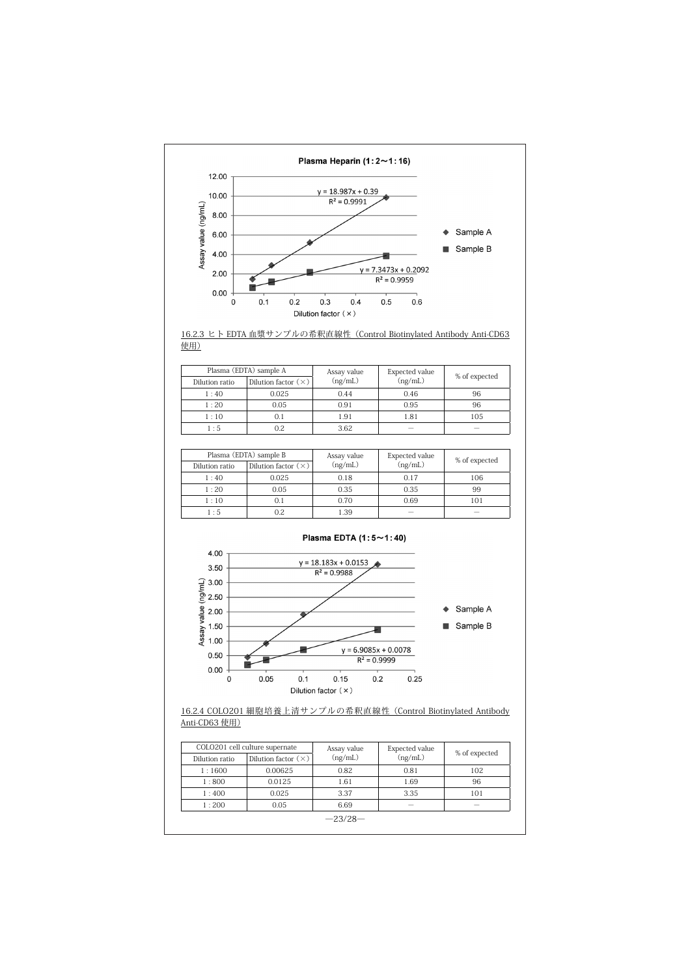



| Plasma (EDTA) sample A |                            | Assay value | Expected value | % of expected            |
|------------------------|----------------------------|-------------|----------------|--------------------------|
| Dilution ratio         | Dilution factor $(\times)$ | (ng/mL)     | (ng/mL)        |                          |
| 1:40                   | 0.025                      | 0.44        | 0.46           | 96                       |
| 1:20                   | 0.05                       | 0.91        | 0.95           | 96                       |
| 1:10                   | O. 1                       | 1.91        | 1.81           | 105                      |
| 1:5                    | 0.2                        | 3.62        | -              | $\overline{\phantom{a}}$ |

|                | Plasma (EDTA) sample B     | Assay value | Expected value | % of expected |  |
|----------------|----------------------------|-------------|----------------|---------------|--|
| Dilution ratio | Dilution factor $(\times)$ | (ng/mL)     | (ng/mL)        |               |  |
| 1:40           | 0.025                      | 0.18        | 0.17           | 106           |  |
| 1:20           | 0.05                       | 0.35        | 0.35           | 99            |  |
| 1:10           | 0.1                        | 0.70        | 0.69           | 101           |  |
| 1:5            | 0.2                        | 1.39        |                |               |  |



# 16.2.4 COLO201 細胞培養上清サンプルの希釈直線性(Control Biotinylated Antibody Anti-CD63 使用)

|                | COLO201 cell culture supernate | Assay value | Expected value           | % of expected |
|----------------|--------------------------------|-------------|--------------------------|---------------|
| Dilution ratio | Dilution factor $(\times)$     | (ng/mL)     | (ng/mL)                  |               |
| 1:1600         | 0.00625                        | 0.82        | 0.81                     | 102           |
| 1:800          | 0.0125                         | 1.61        | 1.69                     | 96            |
| 1:400          | 0.025                          | 3.37        | 3.35                     | 101           |
| 1:200          | 0.05                           | 6.69        | $\overline{\phantom{a}}$ | -             |
|                |                                | $-23/28-$   |                          |               |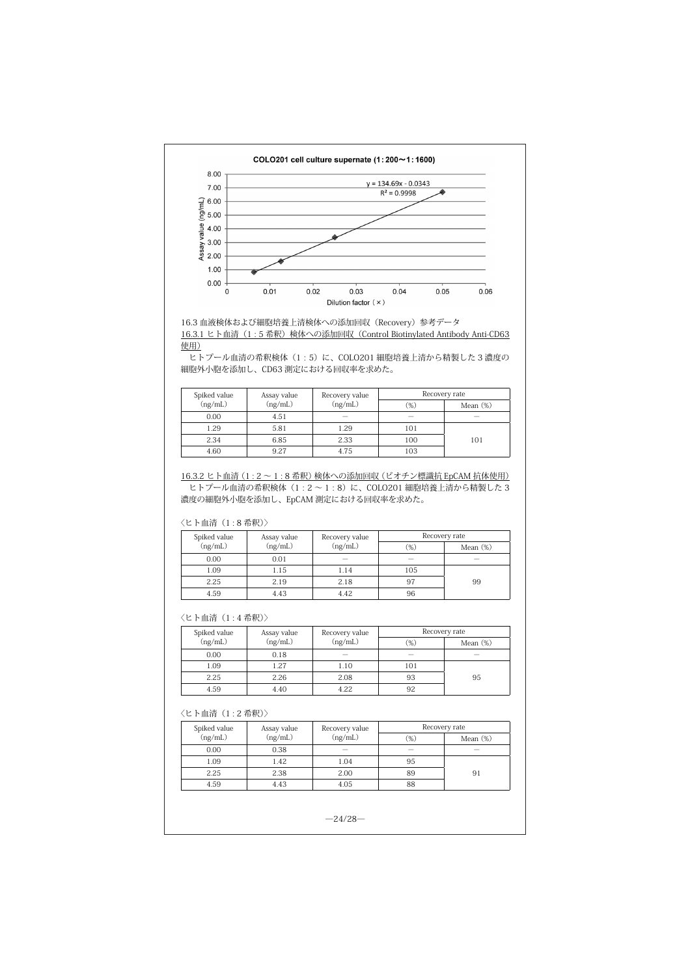



ヒトプール血清の希釈検体 (1:5) に、COLO201 細胞培養上清から精製した 3 濃度の 細胞外小胞を添加し、CD63 測定における回収率を求めた。

| Spiked value | Assay value | Recovery value           | Recovery rate |             |  |
|--------------|-------------|--------------------------|---------------|-------------|--|
| (ng/mL)      | (ng/mL)     | (ng/mL)                  | $(\%)$        | Mean $(\%)$ |  |
| 0.00         | 4.51        | $\overline{\phantom{a}}$ | $\sim$        | $\sim$      |  |
| 1.29         | 5.81        | 1.29                     | 101           |             |  |
| 2.34         | 6.85        | 2.33                     | 100           | 101         |  |
| 4.60         | 9.27        | 4.75                     | 103           |             |  |

16.3.2 ヒト血清 (1:2~1:8 希釈)検体への添加回収 (ビオチン標識抗 EpCAM 抗体使用) ヒトプール血清の希釈検体  $(1: 2 \sim 1: 8)$ に、COLO201 細胞培養上清から精製した3 濃度の細胞外小胞を添加し、EpCAM 測定における回収率を求めた。

#### 〈ヒト血清(1 : 8 希釈)〉

| Spiked value | Assay value | Recovery value | Recovery rate |                          |
|--------------|-------------|----------------|---------------|--------------------------|
| (ng/mL)      | (ng/mL)     | (ng/mL)        | $(\%)$        | Mean $(\%)$              |
| 0.00         | 0.01        |                |               | $\overline{\phantom{a}}$ |
| 1.09         | 1.15        | 1.14           | 105           |                          |
| 2.25         | 2.19        | 2.18           | 97            | 99                       |
| 4.59         | 4.43        | 4.42           | 96            |                          |

## 〈ヒト血清(1 : 4 希釈)〉

| Spiked value | Assay value | Recovery rate<br>Recovery value |                          |             |
|--------------|-------------|---------------------------------|--------------------------|-------------|
| (ng/mL)      | (ng/mL)     | (ng/mL)                         | $(\%)$                   | Mean $(\%)$ |
| 0.00         | 0.18        | $\overline{\phantom{a}}$        | $\overline{\phantom{a}}$ |             |
| 1.09         | 1.27        | 1.10                            | 101                      |             |
| 2.25         | 2.26        | 2.08                            | 93                       | 95          |
| 4.59         | 4.40        | 4.22                            | 92                       |             |

# 〈ヒト血清(1 : 2 希釈)〉

| Spiked value | Assay value | Recovery value |        | Recovery rate            |
|--------------|-------------|----------------|--------|--------------------------|
| (ng/mL)      | (ng/mL)     | (ng/mL)        | $(\%)$ | Mean (%)                 |
| 0.00         | 0.38        | -              |        | $\overline{\phantom{a}}$ |
| 1.09         | 1.42        | 1.04           | 95     |                          |
| 2.25         | 2.38        | 2.00           | 89     | 91                       |
| 4.59         | 4.43        | 4.05           | 88     |                          |

 $-24/28-$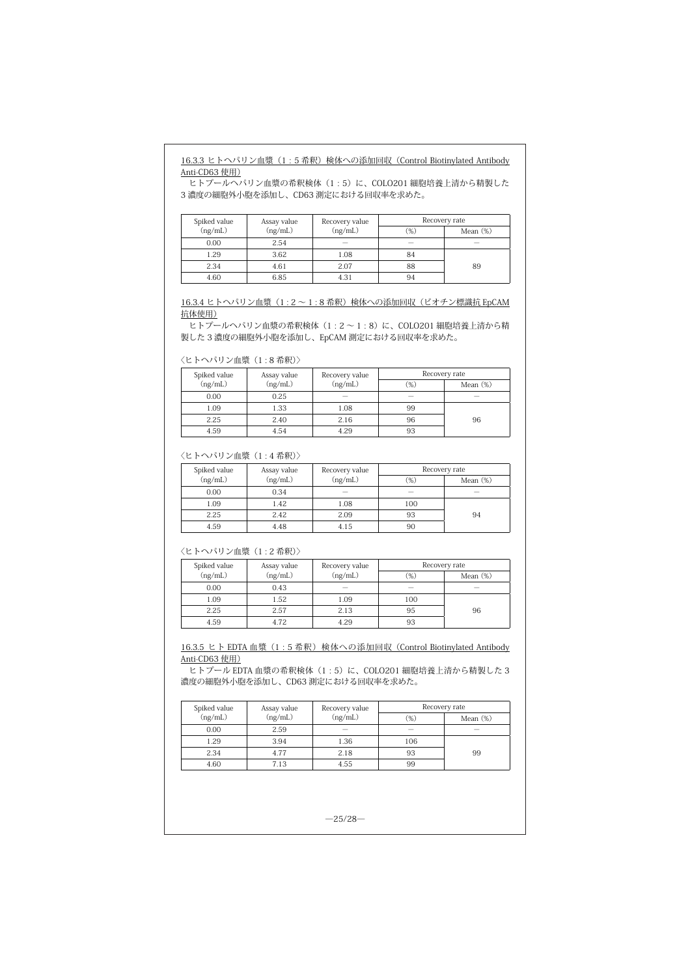# 16.3.3 ヒトヘパリン血漿 (1:5 希釈)検体への添加回収 (Control Biotinylated Antibody Anti-CD63 使用)

 $\overline{E}$ とトプールヘパリン血漿の希釈検体 (1:5)に、COLO201 細胞培養上清から精製した 3 濃度の細胞外小胞を添加し、CD63 測定における回収率を求めた。

| Spiked value | Assay value | Recovery value           |        | Recovery rate            |
|--------------|-------------|--------------------------|--------|--------------------------|
| (ng/mL)      | (ng/mL)     | (ng/mL)                  | $(\%)$ | Mean $(\%)$              |
| 0.00         | 2.54        | $\overline{\phantom{a}}$ | $\sim$ | $\overline{\phantom{a}}$ |
| 1.29         | 3.62        | 1.08                     | 84     |                          |
| 2.34         | 4.61        | 2.07                     | 88     | 89                       |
| 4.60         | 6.85        | 4.31                     | 94     |                          |

16.3.4 ヒトヘパリン血漿 (1:2~1:8 希釈)検体への添加回収(ビオチン標識抗 EpCAM 抗体使用)

ヒトプールヘパリン血漿の希釈検体 (1:2~1:8)に、COLO201 細胞培養上清から精 製した 3 濃度の細胞外小胞を添加し、EpCAM 測定における回収率を求めた。

〈ヒトヘパリン血漿(1 : 8 希釈)〉

| Spiked value | Assay value | Recovery value           |        | Recovery rate            |
|--------------|-------------|--------------------------|--------|--------------------------|
| (ng/mL)      | (ng/mL)     | (ng/mL)                  | (%)    | Mean $(\%)$              |
| 0.00         | 0.25        | $\overline{\phantom{a}}$ | $\sim$ | $\overline{\phantom{a}}$ |
| 1.09         | 1.33        | 1.08                     | 99     |                          |
| 2.25         | 2.40        | 2.16                     | 96     | 96                       |
| 4.59         | 4.54        | 4.29                     | 93     |                          |

## 〈ヒトヘパリン血漿(1 : 4 希釈)〉

| Spiked value | Assay value | Recovery value |        | Recovery rate |
|--------------|-------------|----------------|--------|---------------|
| (ng/mL)      | (ng/mL)     | (ng/mL)        | $(\%)$ | Mean $(\%)$   |
| 0.00         | 0.34        |                |        | -             |
| 1.09         | 1.42        | 1.08           | 100    |               |
| 2.25         | 2.42        | 2.09           | 93     | 94            |
| 4.59         | 4.48        | 4.15           | 90     |               |

# 〈ヒトヘパリン血漿(1 : 2 希釈)〉

| Spiked value | Assay value | Recovery value           |        | Recovery rate |
|--------------|-------------|--------------------------|--------|---------------|
| (ng/mL)      | (ng/mL)     | (ng/mL)                  | $(\%)$ | Mean $(\%)$   |
| 0.00         | 0.43        | $\overline{\phantom{a}}$ | -      | $\sim$        |
| 1.09         | 1.52        | 1.09                     | 100    |               |
| 2.25         | 2.57        | 2.13                     | 95     | 96            |
| 4.59         | 4.72        | 4.29                     | 93     |               |

16.3.5 ヒト EDTA 血漿 (1:5 希釈)検体への添加回収 (Control Biotinylated Antibody Anti-CD63 使用)

ヒトプール EDTA 血漿の希釈検体 (1:5)に、COLO201 細胞培養上清から精製した 3 濃度の細胞外小胞を添加し、CD63 測定における回収率を求めた。

| Spiked value | Assay value | Recovery value           |        | Recovery rate            |
|--------------|-------------|--------------------------|--------|--------------------------|
| (ng/mL)      | (ng/mL)     | (ng/mL)                  | $(\%)$ | Mean $(\%)$              |
| 0.00         | 2.59        | $\overline{\phantom{a}}$ |        | $\overline{\phantom{a}}$ |
| 1.29         | 3.94        | 1.36                     | 106    |                          |
| 2.34         | 4.77        | 2.18                     | 93     | 99                       |
| 4.60         | 7.13        | 4.55                     | 99     |                          |

 $-25/28-$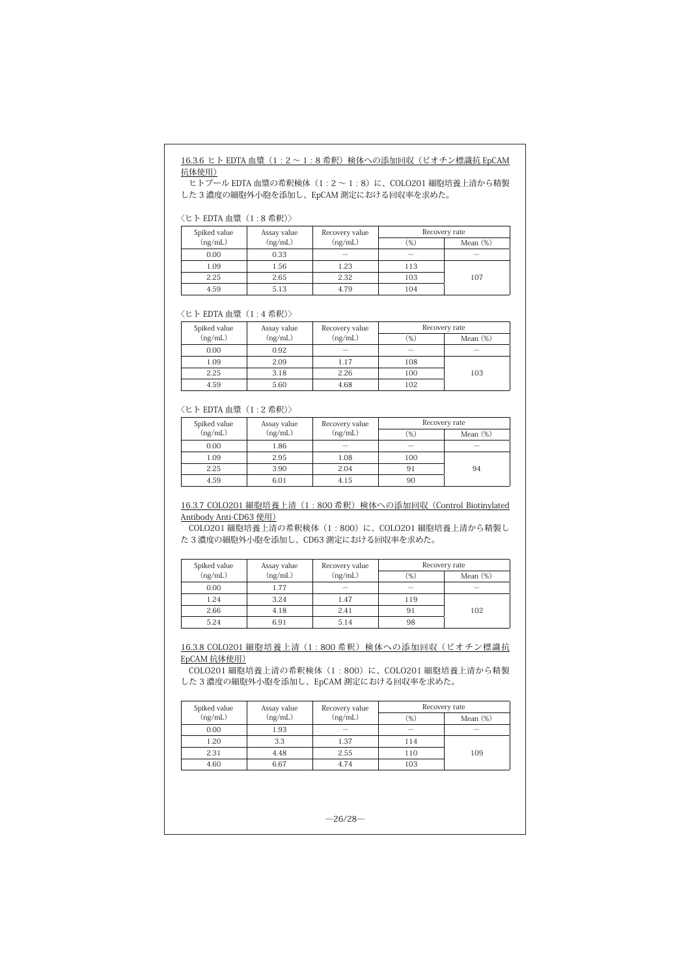# 16.3.6 ヒト EDTA 血漿 (1:2~1:8希釈)検体への添加回収 (ビオチン標識抗 EpCAM 抗体使用)

 $\overline{C}$ レトプール EDTA 血漿の希釈検体 (1 : 2 ~ 1 : 8)に、COLO201 細胞培養上清から精製 した 3 濃度の細胞外小胞を添加し、EpCAM 測定における回収率を求めた。

〈ヒト EDTA 血漿(1 : 8 希釈)〉

| Spiked value | Assay value | Recovery value |        | Recovery rate            |
|--------------|-------------|----------------|--------|--------------------------|
| (ng/mL)      | (ng/mL)     | (ng/mL)        | $(\%)$ | Mean $(\%)$              |
| 0.00         | 0.33        | $\sim$         |        | $\overline{\phantom{a}}$ |
| 1.09         | 1.56        | 1.23           | 113    |                          |
| 2.25         | 2.65        | 2.32           | 103    | 107                      |
| 4.59         | 5.13        | 4.79           | 104    |                          |

〈ヒト EDTA 血漿(1 : 4 希釈)〉

| Spiked value | Assay value | Recovery value |        | Recovery rate |
|--------------|-------------|----------------|--------|---------------|
| (ng/mL)      | (ng/mL)     | (ng/mL)        | $(\%)$ | Mean $(\%)$   |
| 0.00         | 0.92        |                |        |               |
| 1.09         | 2.09        | 1.17           | 108    |               |
| 2.25         | 3.18        | 2.26           | 100    | 103           |
| 4.59         | 5.60        | 4.68           | 102    |               |

#### 〈ヒト EDTA 血漿(1 : 2 希釈)〉

| Spiked value | Assay value | Recovery value |        | Recovery rate |
|--------------|-------------|----------------|--------|---------------|
| (ng/mL)      | (ng/mL)     | (ng/mL)        | $(\%)$ | Mean $(\%)$   |
| 0.00         | 1.86        |                |        |               |
| 1.09         | 2.95        | 1.08           | 100    |               |
| 2.25         | 3.90        | 2.04           | 91     | 94            |
| 4.59         | 6.01        | 4.15           | 90     |               |

16.3.7 COLO201 細胞培養上清 (1:800 希釈)検体への添加回収 (Control Biotinylated Antibody Anti-CD63 使用)

COLO201 細胞培養上清の希釈検体(1 : 800)に、COLO201 細胞培養上清から精製し た 3 濃度の細胞外小胞を添加し、CD63 測定における回収率を求めた。

| Spiked value | Assay value | Recovery value |                          | Recovery rate            |
|--------------|-------------|----------------|--------------------------|--------------------------|
| (ng/mL)      | (ng/mL)     | (ng/mL)        | $(\%)$                   | Mean $(\%)$              |
| 0.00         | 1.77        | -              | $\overline{\phantom{a}}$ | $\overline{\phantom{a}}$ |
| 1.24         | 3.24        | 1.47           | 119                      |                          |
| 2.66         | 4.18        | 2.41           | 91                       | 102                      |
| 5.24         | 6.91        | 5.14           | 98                       |                          |

16.3.8 COLO201 細胞培養上清(1:800 希釈)検体への添加回収(ビオチン標識抗 EpCAM 抗体使用)

。<br>COLO201 細胞培養上清の希釈検体(1:800)に、COLO201 細胞培養上清から精製 した 3 濃度の細胞外小胞を添加し、EpCAM 測定における回収率を求めた。

| Spiked value | Assay value | Recovery value           |                          | Recovery rate            |
|--------------|-------------|--------------------------|--------------------------|--------------------------|
| (ng/mL)      | (ng/mL)     | (ng/mL)                  | $(\%)$                   | Mean $(\%)$              |
| 0.00         | 1.93        | $\overline{\phantom{a}}$ | $\overline{\phantom{a}}$ | $\overline{\phantom{a}}$ |
| 1.20         | 3.3         | 1.37                     | 114                      |                          |
| 2.31         | 4.48        | 2.55                     | 110                      | 109                      |
| 4.60         | 6.67        | 4.74                     | 103                      |                          |

 $-26/28-$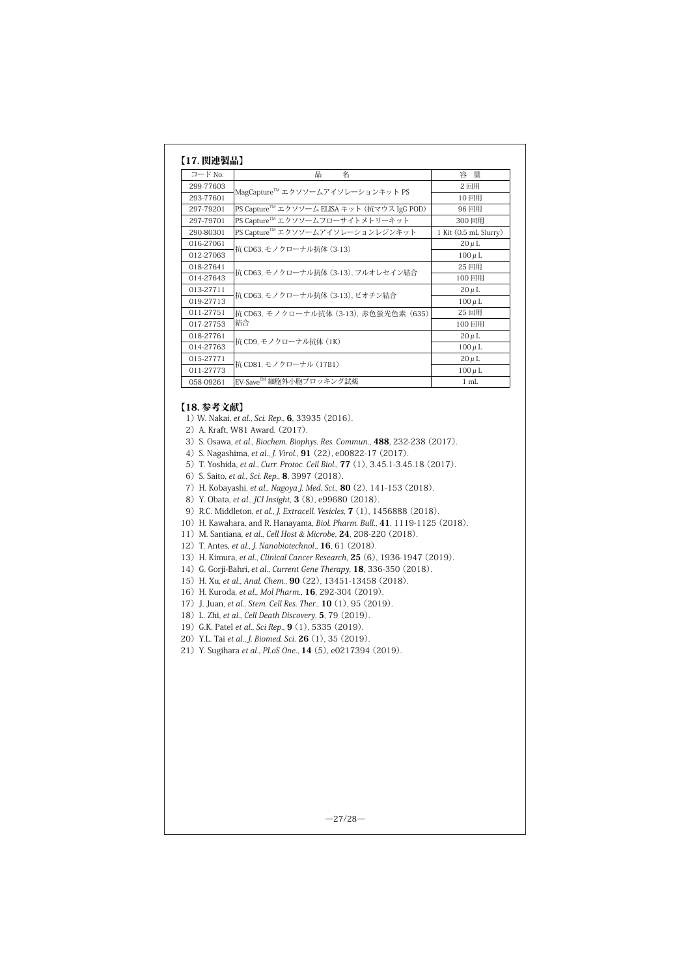| コード No.   | 名<br>品                                      | 容量                    |
|-----------|---------------------------------------------|-----------------------|
| 299-77603 | MagCapture™ エクソソームアイソレーションキット PS            | 2回用                   |
| 293-77601 |                                             | 10回用                  |
| 297-79201 | PS Capture™ エクソソーム ELISA キット (抗マウス IgG POD) | 96 回用                 |
| 297-79701 | PS Capture™ エクソソームフローサイトメトリーキット             | 300回用                 |
| 290-80301 | PS Capture™ エクソソームアイソレーションレジンキット            | 1 Kit (0.5 mL Slurry) |
| 016-27061 |                                             | $20 \mu L$            |
| 012-27063 | 抗 CD63. モノクローナル抗体 (3-13)                    | $100 \mu L$           |
| 018-27641 | 抗 CD63. モノクローナル抗体 (3-13). フルオレセイン結合         | 25 回用                 |
| 014-27643 |                                             | 100回用                 |
| 013-27711 |                                             | $20 \mu L$            |
| 019-27713 | 抗 CD63. モノクローナル抗体 (3-13). ビオチン結合            | $100 \mu L$           |
| 011-27751 | 抗 CD63. モノクローナル抗体 (3-13). 赤色蛍光色素 (635)      | 25 回用                 |
| 017-27753 | 結合                                          | 100 回用                |
| 018-27761 | 抗 CD9. モノクローナル抗体 (1K)                       | $20 \mu L$            |
| 014-27763 |                                             | $100 \mu L$           |
| 015-27771 |                                             | $20 \mu L$            |
| 011-27773 | 抗 CD81, モノクローナル (17B1)                      | $100 \mu L$           |
| 058-09261 | EV-Save™ 細胞外小胞ブロッキング試薬                      | $1 \text{ mL}$        |

# 【18. 参考文献】

1) W. Nakai, et al., Sci. Rep., 6, 33935 (2016).

2) A. Kraft, W81 Award. (2017).

- 3) S. Osawa, et al., Biochem. Biophys. Res. Commun., 488, 232-238 (2017).
- 4) S. Nagashima, et al., J. Virol., 91 (22), e00822-17 (2017).
- 5) T. Yoshida, et al., Curr. Protoc. Cell Biol., 77 (1), 3.45.1-3.45.18 (2017).
- 6) S. Saito, et al., Sci. Rep., 8, 3997 (2018).
- 7) H. Kobayashi, et al., Nagoya J. Med. Sci., 80 (2), 141-153 (2018).
- 8) Y. Obata, et al., JCI Insight, 3 (8), e99680 (2018).
- 9)R.C. Middleton, et al., J. Extracell. Vesicles, 7 (1), 1456888 (2018).
- 10) H. Kawahara, and R. Hanayama, Biol. Pharm. Bull., 41, 1119-1125 (2018).
- 11) M. Santiana, et al., Cell Host & Microbe, **24**, 208-220 (2018).
- 12) T. Antes, et al., J. Nanobiotechnol., 16, 61 (2018).
- 13) H. Kimura, et al., Clinical Cancer Research, **25** (6), 1936-1947 (2019).
- 14) G. Gorji-Bahri, et al., Current Gene Therapy, 18, 336-350 (2018).
- 15) H. Xu, et al., Anal. Chem., 90 (22), 13451-13458 (2018).
- 16) H. Kuroda, et al., Mol Pharm., 16, 292-304 (2019).
- 17) J. Juan, et al., Stem. Cell Res. Ther., **10** (1), 95 (2019).
- 18) L. Zhi, et al., Cell Death Discovery, 5, 79 (2019).
- 19) G.K. Patel et al., Sci Rep., 9 (1), 5335 (2019).
- 20) Y.L. Tai et al., J. Biomed. Sci. **26** (1), 35 (2019).
- 21) Y. Sugihara et al., PLoS One., 14 (5), e0217394 (2019).